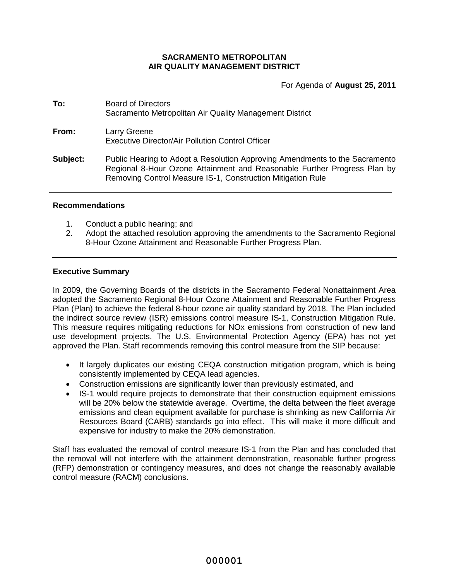# **SACRAMENTO METROPOLITAN AIR QUALITY MANAGEMENT DISTRICT**

For Agenda of **August 25, 2011**

| To:      | <b>Board of Directors</b><br>Sacramento Metropolitan Air Quality Management District                                                                                                                                   |  |  |
|----------|------------------------------------------------------------------------------------------------------------------------------------------------------------------------------------------------------------------------|--|--|
| From:    | Larry Greene<br><b>Executive Director/Air Pollution Control Officer</b>                                                                                                                                                |  |  |
| Subject: | Public Hearing to Adopt a Resolution Approving Amendments to the Sacramento<br>Regional 8-Hour Ozone Attainment and Reasonable Further Progress Plan by<br>Removing Control Measure IS-1, Construction Mitigation Rule |  |  |

#### **Recommendations**

- 1. Conduct a public hearing; and
- 2. Adopt the attached resolution approving the amendments to the Sacramento Regional 8-Hour Ozone Attainment and Reasonable Further Progress Plan.

#### **Executive Summary**

In 2009, the Governing Boards of the districts in the Sacramento Federal Nonattainment Area adopted the Sacramento Regional 8-Hour Ozone Attainment and Reasonable Further Progress Plan (Plan) to achieve the federal 8-hour ozone air quality standard by 2018. The Plan included the indirect source review (ISR) emissions control measure IS-1, Construction Mitigation Rule. This measure requires mitigating reductions for NOx emissions from construction of new land use development projects. The U.S. Environmental Protection Agency (EPA) has not yet approved the Plan. Staff recommends removing this control measure from the SIP because:

- It largely duplicates our existing CEQA construction mitigation program, which is being consistently implemented by CEQA lead agencies.
- Construction emissions are significantly lower than previously estimated, and
- IS-1 would require projects to demonstrate that their construction equipment emissions will be 20% below the statewide average. Overtime, the delta between the fleet average emissions and clean equipment available for purchase is shrinking as new California Air Resources Board (CARB) standards go into effect. This will make it more difficult and expensive for industry to make the 20% demonstration.

Staff has evaluated the removal of control measure IS-1 from the Plan and has concluded that the removal will not interfere with the attainment demonstration, reasonable further progress (RFP) demonstration or contingency measures, and does not change the reasonably available control measure (RACM) conclusions.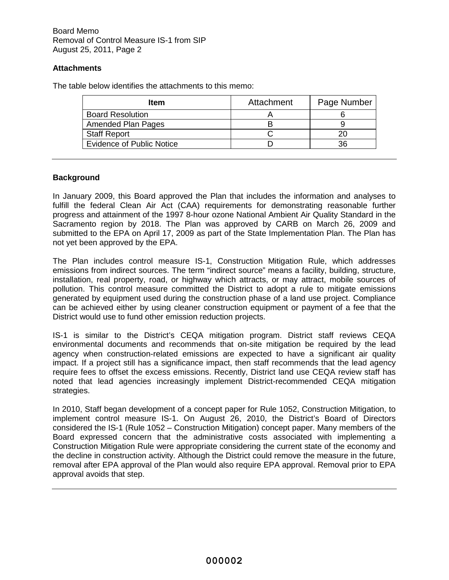# **Attachments**

The table below identifies the attachments to this memo:

| Item                             | Attachment | Page Number |
|----------------------------------|------------|-------------|
| <b>Board Resolution</b>          |            |             |
| <b>Amended Plan Pages</b>        |            |             |
| <b>Staff Report</b>              |            | 20          |
| <b>Evidence of Public Notice</b> |            | 36          |

# **Background**

In January 2009, this Board approved the Plan that includes the information and analyses to fulfill the federal Clean Air Act (CAA) requirements for demonstrating reasonable further progress and attainment of the 1997 8-hour ozone National Ambient Air Quality Standard in the Sacramento region by 2018. The Plan was approved by CARB on March 26, 2009 and submitted to the EPA on April 17, 2009 as part of the State Implementation Plan. The Plan has not yet been approved by the EPA.

The Plan includes control measure IS-1, Construction Mitigation Rule, which addresses emissions from indirect sources. The term "indirect source" means a facility, building, structure, installation, real property, road, or highway which attracts, or may attract, mobile sources of pollution. This control measure committed the District to adopt a rule to mitigate emissions generated by equipment used during the construction phase of a land use project. Compliance can be achieved either by using cleaner construction equipment or payment of a fee that the District would use to fund other emission reduction projects.

IS-1 is similar to the District's CEQA mitigation program. District staff reviews CEQA environmental documents and recommends that on-site mitigation be required by the lead agency when construction-related emissions are expected to have a significant air quality impact. If a project still has a significance impact, then staff recommends that the lead agency require fees to offset the excess emissions. Recently, District land use CEQA review staff has noted that lead agencies increasingly implement District-recommended CEQA mitigation strategies.

In 2010, Staff began development of a concept paper for Rule 1052, Construction Mitigation, to implement control measure IS-1. On August 26, 2010, the District's Board of Directors considered the IS-1 (Rule 1052 – Construction Mitigation) concept paper. Many members of the Board expressed concern that the administrative costs associated with implementing a Construction Mitigation Rule were appropriate considering the current state of the economy and the decline in construction activity. Although the District could remove the measure in the future, removal after EPA approval of the Plan would also require EPA approval. Removal prior to EPA approval avoids that step.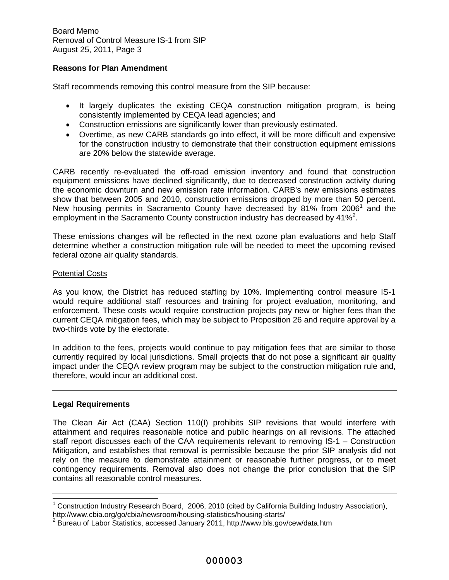Board Memo Removal of Control Measure IS-1 from SIP August 25, 2011, Page 3

#### **Reasons for Plan Amendment**

Staff recommends removing this control measure from the SIP because:

- It largely duplicates the existing CEQA construction mitigation program, is being consistently implemented by CEQA lead agencies; and
- Construction emissions are significantly lower than previously estimated.
- Overtime, as new CARB standards go into effect, it will be more difficult and expensive for the construction industry to demonstrate that their construction equipment emissions are 20% below the statewide average.

CARB recently re-evaluated the off-road emission inventory and found that construction equipment emissions have declined significantly, due to decreased construction activity during the economic downturn and new emission rate information. CARB's new emissions estimates show that between 2005 and 2010, construction emissions dropped by more than 50 percent. New housing permits in Sacramento County have decreased by 81% from 2006<sup>1</sup> and the employment in the Sacramento County construction industry has decreased by 41%<sup>2</sup>.

These emissions changes will be reflected in the next ozone plan evaluations and help Staff determine whether a construction mitigation rule will be needed to meet the upcoming revised federal ozone air quality standards.

#### Potential Costs

As you know, the District has reduced staffing by 10%. Implementing control measure IS-1 would require additional staff resources and training for project evaluation, monitoring, and enforcement. These costs would require construction projects pay new or higher fees than the current CEQA mitigation fees, which may be subject to Proposition 26 and require approval by a two-thirds vote by the electorate.

In addition to the fees, projects would continue to pay mitigation fees that are similar to those currently required by local jurisdictions. Small projects that do not pose a significant air quality impact under the CEQA review program may be subject to the construction mitigation rule and, therefore, would incur an additional cost.

#### **Legal Requirements**

The Clean Air Act (CAA) Section 110(I) prohibits SIP revisions that would interfere with attainment and requires reasonable notice and public hearings on all revisions. The attached staff report discusses each of the CAA requirements relevant to removing IS-1 – Construction Mitigation, and establishes that removal is permissible because the prior SIP analysis did not rely on the measure to demonstrate attainment or reasonable further progress, or to meet contingency requirements. Removal also does not change the prior conclusion that the SIP contains all reasonable control measures.

<sup>&</sup>lt;sup>1</sup> Construction Industry Research Board, 2006, 2010 (cited by California Building Industry Association), http://www.cbia.org/go/cbia/newsroom/housing-statistics/housing-starts/<br><sup>2</sup> Bureau of Laber Statistics, accessed, lanuary 2011, http://www.bla.com

Bureau of Labor Statistics, accessed January 2011, http://www.bls.gov/cew/data.htm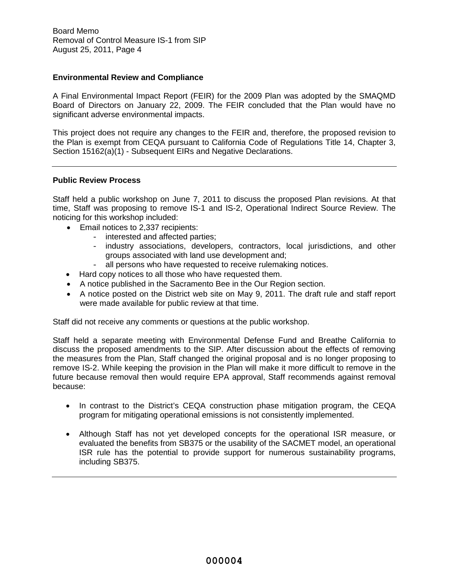#### **Environmental Review and Compliance**

A Final Environmental Impact Report (FEIR) for the 2009 Plan was adopted by the SMAQMD Board of Directors on January 22, 2009. The FEIR concluded that the Plan would have no significant adverse environmental impacts.

This project does not require any changes to the FEIR and, therefore, the proposed revision to the Plan is exempt from CEQA pursuant to California Code of Regulations Title 14, Chapter 3, Section 15162(a)(1) - Subsequent EIRs and Negative Declarations.

#### **Public Review Process**

Staff held a public workshop on June 7, 2011 to discuss the proposed Plan revisions. At that time, Staff was proposing to remove IS-1 and IS-2, Operational Indirect Source Review. The noticing for this workshop included:

- Email notices to 2,337 recipients:
	- interested and affected parties;
	- industry associations, developers, contractors, local jurisdictions, and other groups associated with land use development and;
	- all persons who have requested to receive rulemaking notices.
- Hard copy notices to all those who have requested them.
- A notice published in the Sacramento Bee in the Our Region section.
- A notice posted on the District web site on May 9, 2011. The draft rule and staff report were made available for public review at that time.

Staff did not receive any comments or questions at the public workshop.

Staff held a separate meeting with Environmental Defense Fund and Breathe California to discuss the proposed amendments to the SIP. After discussion about the effects of removing the measures from the Plan, Staff changed the original proposal and is no longer proposing to remove IS-2. While keeping the provision in the Plan will make it more difficult to remove in the future because removal then would require EPA approval, Staff recommends against removal because:

- In contrast to the District's CEQA construction phase mitigation program, the CEQA program for mitigating operational emissions is not consistently implemented.
- Although Staff has not yet developed concepts for the operational ISR measure, or evaluated the benefits from SB375 or the usability of the SACMET model, an operational ISR rule has the potential to provide support for numerous sustainability programs, including SB375.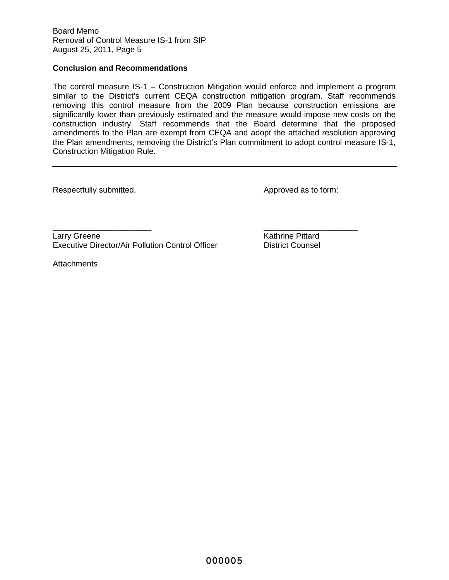#### **Conclusion and Recommendations**

The control measure IS-1 – Construction Mitigation would enforce and implement a program similar to the District's current CEQA construction mitigation program. Staff recommends removing this control measure from the 2009 Plan because construction emissions are significantly lower than previously estimated and the measure would impose new costs on the construction industry. Staff recommends that the Board determine that the proposed amendments to the Plan are exempt from CEQA and adopt the attached resolution approving the Plan amendments, removing the District's Plan commitment to adopt control measure IS-1, Construction Mitigation Rule.

Respectfully submitted,  $\blacksquare$ 

\_\_\_\_\_\_\_\_\_\_\_\_\_\_\_\_\_\_\_\_\_\_ \_\_\_\_\_\_\_\_\_\_\_\_\_\_\_\_\_\_\_\_\_ Larry Greene **Kathrine Pittard** Executive Director/Air Pollution Control Officer **District Counsel** 

**Attachments**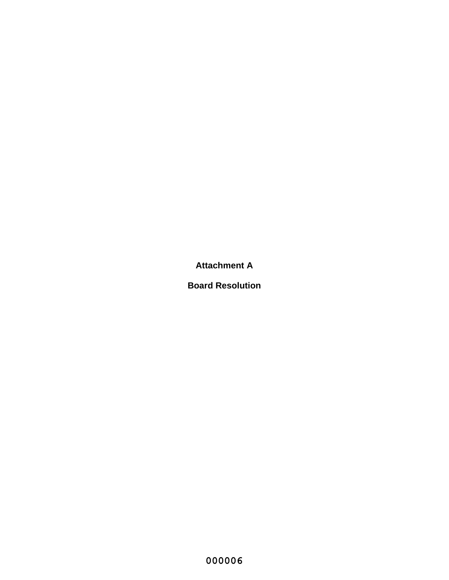**Attachment A**

**Board Resolution**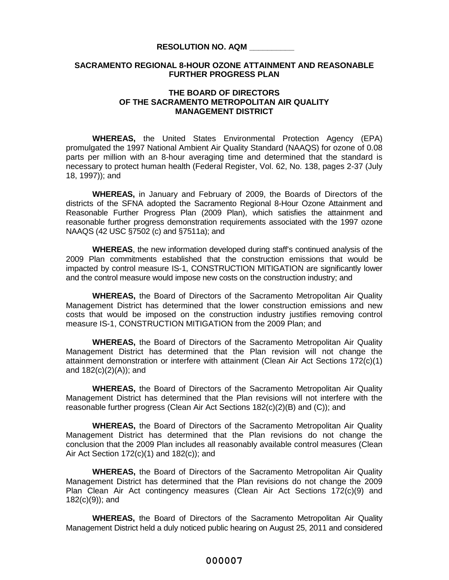#### **RESOLUTION NO. AQM \_\_\_\_\_\_\_\_\_\_**

#### **SACRAMENTO REGIONAL 8-HOUR OZONE ATTAINMENT AND REASONABLE FURTHER PROGRESS PLAN**

#### **THE BOARD OF DIRECTORS OF THE SACRAMENTO METROPOLITAN AIR QUALITY MANAGEMENT DISTRICT**

**WHEREAS,** the United States Environmental Protection Agency (EPA) promulgated the 1997 National Ambient Air Quality Standard (NAAQS) for ozone of 0.08 parts per million with an 8-hour averaging time and determined that the standard is necessary to protect human health (Federal Register, Vol. 62, No. 138, pages 2-37 (July 18, 1997)); and

**WHEREAS,** in January and February of 2009, the Boards of Directors of the districts of the SFNA adopted the Sacramento Regional 8-Hour Ozone Attainment and Reasonable Further Progress Plan (2009 Plan), which satisfies the attainment and reasonable further progress demonstration requirements associated with the 1997 ozone NAAQS (42 USC §7502 (c) and §7511a); and

**WHEREAS**, the new information developed during staff's continued analysis of the 2009 Plan commitments established that the construction emissions that would be impacted by control measure IS-1, CONSTRUCTION MITIGATION are significantly lower and the control measure would impose new costs on the construction industry; and

**WHEREAS,** the Board of Directors of the Sacramento Metropolitan Air Quality Management District has determined that the lower construction emissions and new costs that would be imposed on the construction industry justifies removing control measure IS-1, CONSTRUCTION MITIGATION from the 2009 Plan; and

**WHEREAS,** the Board of Directors of the Sacramento Metropolitan Air Quality Management District has determined that the Plan revision will not change the attainment demonstration or interfere with attainment (Clean Air Act Sections 172(c)(1) and 182(c)(2)(A)); and

**WHEREAS,** the Board of Directors of the Sacramento Metropolitan Air Quality Management District has determined that the Plan revisions will not interfere with the reasonable further progress (Clean Air Act Sections 182(c)(2)(B) and (C)); and

**WHEREAS,** the Board of Directors of the Sacramento Metropolitan Air Quality Management District has determined that the Plan revisions do not change the conclusion that the 2009 Plan includes all reasonably available control measures (Clean Air Act Section 172(c)(1) and 182(c)); and

**WHEREAS,** the Board of Directors of the Sacramento Metropolitan Air Quality Management District has determined that the Plan revisions do not change the 2009 Plan Clean Air Act contingency measures (Clean Air Act Sections 172(c)(9) and 182(c)(9)); and

**WHEREAS,** the Board of Directors of the Sacramento Metropolitan Air Quality Management District held a duly noticed public hearing on August 25, 2011 and considered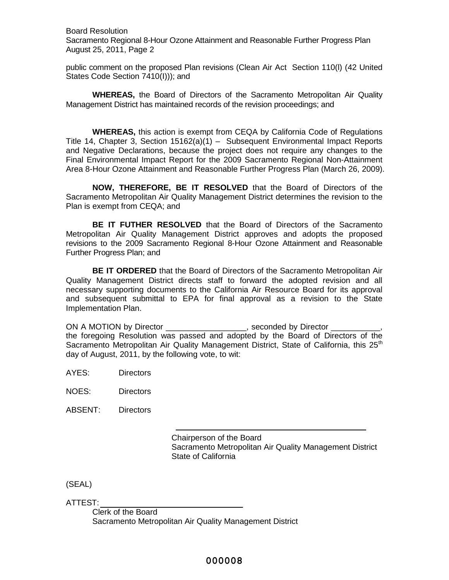Board Resolution Sacramento Regional 8-Hour Ozone Attainment and Reasonable Further Progress Plan August 25, 2011, Page 2

public comment on the proposed Plan revisions (Clean Air Act Section 110(l) (42 United States Code Section 7410(I))); and

**WHEREAS,** the Board of Directors of the Sacramento Metropolitan Air Quality Management District has maintained records of the revision proceedings; and

**WHEREAS,** this action is exempt from CEQA by California Code of Regulations Title 14, Chapter 3, Section 15162(a)(1) – Subsequent Environmental Impact Reports and Negative Declarations, because the project does not require any changes to the Final Environmental Impact Report for the 2009 Sacramento Regional Non-Attainment Area 8-Hour Ozone Attainment and Reasonable Further Progress Plan (March 26, 2009).

**NOW, THEREFORE, BE IT RESOLVED** that the Board of Directors of the Sacramento Metropolitan Air Quality Management District determines the revision to the Plan is exempt from CEQA; and

**BE IT FUTHER RESOLVED** that the Board of Directors of the Sacramento Metropolitan Air Quality Management District approves and adopts the proposed revisions to the 2009 Sacramento Regional 8-Hour Ozone Attainment and Reasonable Further Progress Plan; and

**BE IT ORDERED** that the Board of Directors of the Sacramento Metropolitan Air Quality Management District directs staff to forward the adopted revision and all necessary supporting documents to the California Air Resource Board for its approval and subsequent submittal to EPA for final approval as a revision to the State Implementation Plan.

ON A MOTION by Director \_\_\_\_\_\_\_\_\_\_\_\_\_\_\_\_\_, seconded by Director \_ the foregoing Resolution was passed and adopted by the Board of Directors of the Sacramento Metropolitan Air Quality Management District, State of California, this 25<sup>th</sup> day of August, 2011, by the following vote, to wit:

AYES: Directors

NOES: Directors

ABSENT: Directors

Chairperson of the Board Sacramento Metropolitan Air Quality Management District State of California

(SEAL)

ATTEST:

Clerk of the Board Sacramento Metropolitan Air Quality Management District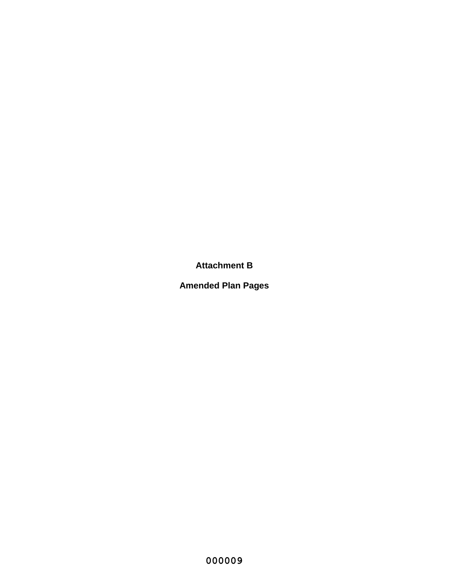**Attachment B**

**Amended Plan Pages**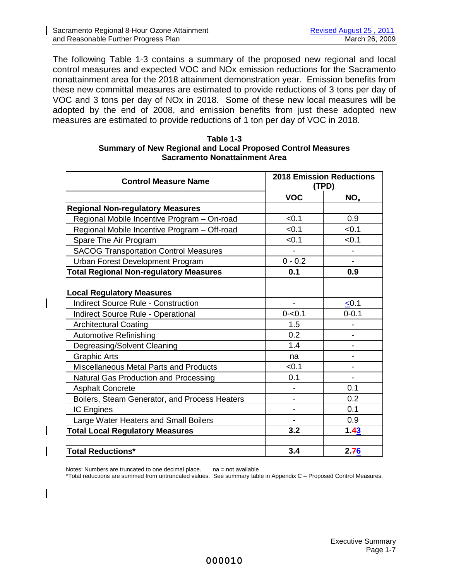The following Table 1-3 contains a summary of the proposed new regional and local control measures and expected VOC and NOx emission reductions for the Sacramento nonattainment area for the 2018 attainment demonstration year. Emission benefits from these new committal measures are estimated to provide reductions of 3 tons per day of VOC and 3 tons per day of NOx in 2018. Some of these new local measures will be adopted by the end of 2008, and emission benefits from just these adopted new measures are estimated to provide reductions of 1 ton per day of VOC in 2018.

| Table 1-3                                                          |
|--------------------------------------------------------------------|
| <b>Summary of New Regional and Local Proposed Control Measures</b> |
| Sacramento Nonattainment Area                                      |

| <b>Control Measure Name</b>                   |                          | <b>2018 Emission Reductions</b><br>(TPD) |  |
|-----------------------------------------------|--------------------------|------------------------------------------|--|
|                                               | <b>VOC</b>               | NO <sub>x</sub>                          |  |
| <b>Regional Non-regulatory Measures</b>       |                          |                                          |  |
| Regional Mobile Incentive Program - On-road   | < 0.1                    | 0.9                                      |  |
| Regional Mobile Incentive Program - Off-road  | < 0.1                    | < 0.1                                    |  |
| Spare The Air Program                         | < 0.1                    | < 0.1                                    |  |
| <b>SACOG Transportation Control Measures</b>  | $\overline{a}$           |                                          |  |
| Urban Forest Development Program              | $0 - 0.2$                |                                          |  |
| <b>Total Regional Non-regulatory Measures</b> | 0.1                      | 0.9                                      |  |
|                                               |                          |                                          |  |
| <b>Local Regulatory Measures</b>              |                          |                                          |  |
| <b>Indirect Source Rule - Construction</b>    | $\overline{\phantom{a}}$ | < 0.1                                    |  |
| Indirect Source Rule - Operational            | $0 - 0.1$                | $0 - 0.1$                                |  |
| <b>Architectural Coating</b>                  | 1.5                      |                                          |  |
| <b>Automotive Refinishing</b>                 | 0.2                      |                                          |  |
| Degreasing/Solvent Cleaning                   | 1.4                      |                                          |  |
| <b>Graphic Arts</b>                           | na                       |                                          |  |
| <b>Miscellaneous Metal Parts and Products</b> | < 0.1                    |                                          |  |
| Natural Gas Production and Processing         | 0.1                      |                                          |  |
| <b>Asphalt Concrete</b>                       |                          | 0.1                                      |  |
| Boilers, Steam Generator, and Process Heaters |                          | 0.2                                      |  |
| <b>IC Engines</b>                             | $\overline{\phantom{0}}$ | 0.1                                      |  |
| Large Water Heaters and Small Boilers         |                          | 0.9                                      |  |
| <b>Total Local Regulatory Measures</b>        | 3.2                      | 1.43                                     |  |
|                                               |                          |                                          |  |
| <b>Total Reductions*</b>                      | 3.4                      | 2.76                                     |  |

Notes: Numbers are truncated to one decimal place.  $na = not available$ 

\*Total reductions are summed from untruncated values. See summary table in Appendix C – Proposed Control Measures.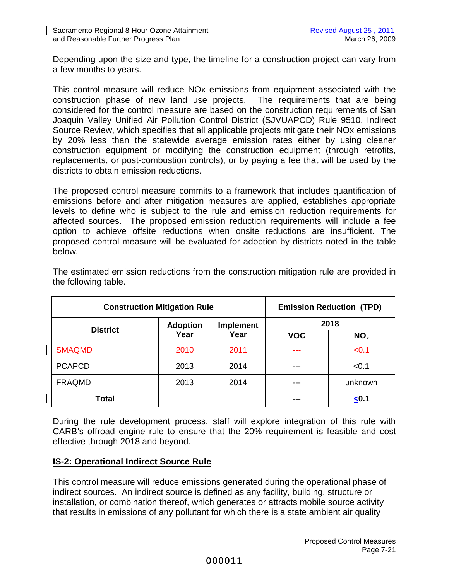Depending upon the size and type, the timeline for a construction project can vary from a few months to years.

This control measure will reduce NOx emissions from equipment associated with the construction phase of new land use projects. The requirements that are being considered for the control measure are based on the construction requirements of San Joaquin Valley Unified Air Pollution Control District (SJVUAPCD) Rule 9510, Indirect Source Review, which specifies that all applicable projects mitigate their NOx emissions by 20% less than the statewide average emission rates either by using cleaner construction equipment or modifying the construction equipment (through retrofits, replacements, or post-combustion controls), or by paying a fee that will be used by the districts to obtain emission reductions.

The proposed control measure commits to a framework that includes quantification of emissions before and after mitigation measures are applied, establishes appropriate levels to define who is subject to the rule and emission reduction requirements for affected sources. The proposed emission reduction requirements will include a fee option to achieve offsite reductions when onsite reductions are insufficient. The proposed control measure will be evaluated for adoption by districts noted in the table below.

| <b>Construction Mitigation Rule</b> |                 |                          |            | <b>Emission Reduction (TPD)</b> |
|-------------------------------------|-----------------|--------------------------|------------|---------------------------------|
| <b>District</b>                     | <b>Adoption</b> | <b>Implement</b><br>Year | 2018       |                                 |
|                                     | Year            |                          | <b>VOC</b> | NO <sub>x</sub>                 |
| SMAQMD                              | 2010            | 2011                     |            | $-0.1$                          |
| <b>PCAPCD</b>                       | 2013            | 2014                     |            | < 0.1                           |
| <b>FRAQMD</b>                       | 2013            | 2014                     |            | unknown                         |
| Total                               |                 |                          |            | < 0.1                           |

The estimated emission reductions from the construction mitigation rule are provided in the following table.

During the rule development process, staff will explore integration of this rule with CARB's offroad engine rule to ensure that the 20% requirement is feasible and cost effective through 2018 and beyond.

# **IS-2: Operational Indirect Source Rule**

This control measure will reduce emissions generated during the operational phase of indirect sources. An indirect source is defined as any facility, building, structure or installation, or combination thereof, which generates or attracts mobile source activity that results in emissions of any pollutant for which there is a state ambient air quality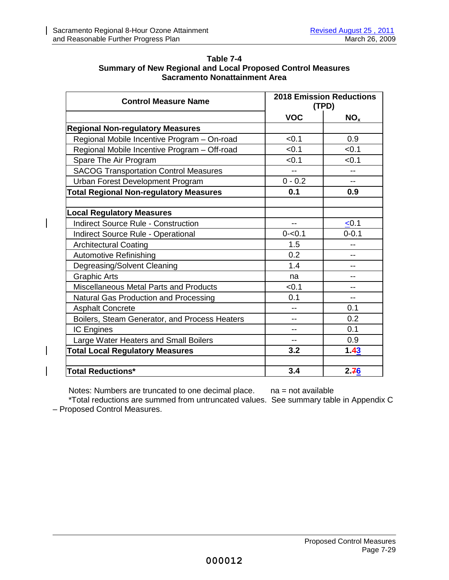$\overline{\phantom{a}}$ 

 $\overline{\phantom{a}}$ 

| Table 7-4                                                          |
|--------------------------------------------------------------------|
| <b>Summary of New Regional and Local Proposed Control Measures</b> |
| <b>Sacramento Nonattainment Area</b>                               |

| <b>Control Measure Name</b>                   | <b>2018 Emission Reductions</b><br>(TPD) |                 |
|-----------------------------------------------|------------------------------------------|-----------------|
|                                               | <b>VOC</b>                               | NO <sub>x</sub> |
| <b>Regional Non-regulatory Measures</b>       |                                          |                 |
| Regional Mobile Incentive Program - On-road   | < 0.1                                    | 0.9             |
| Regional Mobile Incentive Program - Off-road  | < 0.1                                    | < 0.1           |
| Spare The Air Program                         | < 0.1                                    | < 0.1           |
| <b>SACOG Transportation Control Measures</b>  |                                          |                 |
| Urban Forest Development Program              | $0 - 0.2$                                | $-$             |
| <b>Total Regional Non-regulatory Measures</b> | 0.1                                      | 0.9             |
|                                               |                                          |                 |
| <b>Local Regulatory Measures</b>              |                                          |                 |
| <b>Indirect Source Rule - Construction</b>    | $-$                                      | < 0.1           |
| Indirect Source Rule - Operational            | $0 - 0.1$                                | $0 - 0.1$       |
| <b>Architectural Coating</b>                  | 1.5                                      |                 |
| <b>Automotive Refinishing</b>                 | 0.2                                      |                 |
| Degreasing/Solvent Cleaning                   | 1.4                                      |                 |
| <b>Graphic Arts</b>                           | na                                       | --              |
| Miscellaneous Metal Parts and Products        | < 0.1                                    |                 |
| <b>Natural Gas Production and Processing</b>  | 0.1                                      | $-$             |
| <b>Asphalt Concrete</b>                       |                                          | 0.1             |
| Boilers, Steam Generator, and Process Heaters | --                                       | 0.2             |
| IC Engines                                    | --                                       | 0.1             |
| Large Water Heaters and Small Boilers         | $- -$                                    | 0.9             |
| <b>Total Local Regulatory Measures</b>        | 3.2                                      | 1.43            |
|                                               |                                          |                 |
| <b>Total Reductions*</b>                      | 3.4                                      | 2.76            |

Notes: Numbers are truncated to one decimal place. na = not available

\*Total reductions are summed from untruncated values. See summary table in Appendix C – Proposed Control Measures.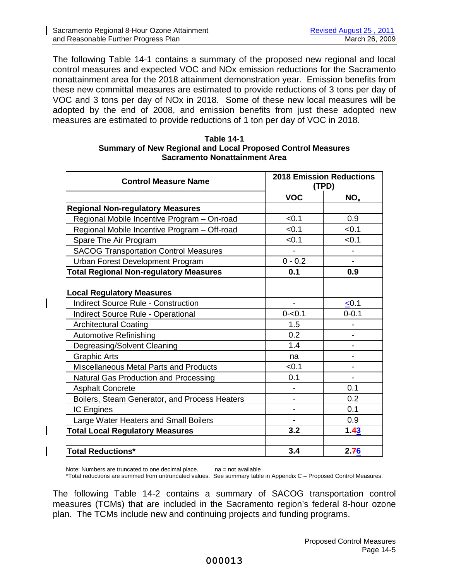The following Table 14-1 contains a summary of the proposed new regional and local control measures and expected VOC and NOx emission reductions for the Sacramento nonattainment area for the 2018 attainment demonstration year. Emission benefits from these new committal measures are estimated to provide reductions of 3 tons per day of VOC and 3 tons per day of NOx in 2018. Some of these new local measures will be adopted by the end of 2008, and emission benefits from just these adopted new measures are estimated to provide reductions of 1 ton per day of VOC in 2018.

| Table 14-1                                                         |
|--------------------------------------------------------------------|
| <b>Summary of New Regional and Local Proposed Control Measures</b> |
| Sacramento Nonattainment Area                                      |

| <b>Control Measure Name</b>                   | <b>2018 Emission Reductions</b><br>(TPD) |                 |
|-----------------------------------------------|------------------------------------------|-----------------|
|                                               | <b>VOC</b>                               | NO <sub>x</sub> |
| <b>Regional Non-regulatory Measures</b>       |                                          |                 |
| Regional Mobile Incentive Program - On-road   | < 0.1                                    | 0.9             |
| Regional Mobile Incentive Program - Off-road  | < 0.1                                    | < 0.1           |
| Spare The Air Program                         | < 0.1                                    | < 0.1           |
| <b>SACOG Transportation Control Measures</b>  |                                          |                 |
| Urban Forest Development Program              | $0 - 0.2$                                |                 |
| <b>Total Regional Non-regulatory Measures</b> | 0.1                                      | 0.9             |
|                                               |                                          |                 |
| <b>Local Regulatory Measures</b>              |                                          |                 |
| <b>Indirect Source Rule - Construction</b>    | $\blacksquare$                           | < 0.1           |
| Indirect Source Rule - Operational            | $0 - 0.1$                                | $0 - 0.1$       |
| <b>Architectural Coating</b>                  | 1.5                                      |                 |
| <b>Automotive Refinishing</b>                 | 0.2                                      |                 |
| Degreasing/Solvent Cleaning                   | 1.4                                      |                 |
| <b>Graphic Arts</b>                           | na                                       |                 |
| Miscellaneous Metal Parts and Products        | < 0.1                                    |                 |
| Natural Gas Production and Processing         | 0.1                                      |                 |
| <b>Asphalt Concrete</b>                       |                                          | 0.1             |
| Boilers, Steam Generator, and Process Heaters |                                          | 0.2             |
| IC Engines                                    | L,                                       | 0.1             |
| Large Water Heaters and Small Boilers         |                                          | 0.9             |
| <b>Total Local Regulatory Measures</b>        | 3.2                                      | 1.43            |
|                                               |                                          |                 |
| <b>Total Reductions*</b>                      | 3.4                                      | 2.76            |

Note: Numbers are truncated to one decimal place.  $na = not available$ \*Total reductions are summed from untruncated values. See summary table in Appendix C – Proposed Control Measures.

The following Table 14-2 contains a summary of SACOG transportation control measures (TCMs) that are included in the Sacramento region's federal 8-hour ozone plan. The TCMs include new and continuing projects and funding programs.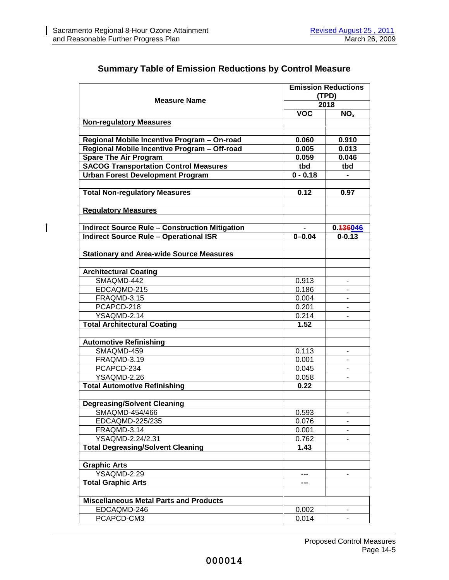$\overline{\phantom{a}}$ 

|                                                                              |              | <b>Emission Reductions</b> |  |
|------------------------------------------------------------------------------|--------------|----------------------------|--|
| <b>Measure Name</b>                                                          |              | (TPD)                      |  |
|                                                                              |              | 2018                       |  |
|                                                                              | <b>VOC</b>   | NO <sub>x</sub>            |  |
| <b>Non-regulatory Measures</b>                                               |              |                            |  |
|                                                                              |              |                            |  |
| Regional Mobile Incentive Program - On-road                                  | 0.060        | 0.910                      |  |
| Regional Mobile Incentive Program - Off-road                                 | 0.005        | 0.013                      |  |
| <b>Spare The Air Program</b><br><b>SACOG Transportation Control Measures</b> | 0.059<br>tbd | 0.046                      |  |
| <b>Urban Forest Development Program</b>                                      | $0 - 0.18$   | tbd                        |  |
|                                                                              |              |                            |  |
| <b>Total Non-regulatory Measures</b>                                         | 0.12         | 0.97                       |  |
|                                                                              |              |                            |  |
| <b>Regulatory Measures</b>                                                   |              |                            |  |
|                                                                              |              |                            |  |
| <b>Indirect Source Rule - Construction Mitigation</b>                        |              | 0.436046                   |  |
| <b>Indirect Source Rule - Operational ISR</b>                                | $0 - 0.04$   | $0 - 0.13$                 |  |
|                                                                              |              |                            |  |
| <b>Stationary and Area-wide Source Measures</b>                              |              |                            |  |
|                                                                              |              |                            |  |
| <b>Architectural Coating</b>                                                 |              |                            |  |
| SMAQMD-442                                                                   | 0.913        |                            |  |
| EDCAQMD-215                                                                  | 0.186        |                            |  |
| FRAQMD-3.15                                                                  | 0.004        |                            |  |
| PCAPCD-218                                                                   | 0.201        |                            |  |
| YSAQMD-2.14                                                                  | 0.214        |                            |  |
| <b>Total Architectural Coating</b>                                           | 1.52         |                            |  |
|                                                                              |              |                            |  |
| <b>Automotive Refinishing</b>                                                |              |                            |  |
| SMAQMD-459                                                                   | 0.113        |                            |  |
| FRAQMD-3.19                                                                  | 0.001        |                            |  |
| PCAPCD-234                                                                   | 0.045        |                            |  |
| YSAQMD-2.26                                                                  | 0.058        |                            |  |
| <b>Total Automotive Refinishing</b>                                          | 0.22         |                            |  |
|                                                                              |              |                            |  |
| <b>Degreasing/Solvent Cleaning</b>                                           |              |                            |  |
| SMAQMD-454/466                                                               | 0.593        |                            |  |
| EDCAQMD-225/235                                                              | 0.076        |                            |  |
| FRAQMD-3.14                                                                  | 0.001        |                            |  |
| YSAQMD-2.24/2.31                                                             | 0.762        |                            |  |
| <b>Total Degreasing/Solvent Cleaning</b>                                     | 1.43         |                            |  |
|                                                                              |              |                            |  |
| <b>Graphic Arts</b>                                                          |              |                            |  |
| YSAQMD-2.29                                                                  |              |                            |  |
| <b>Total Graphic Arts</b>                                                    | ---          |                            |  |
|                                                                              |              |                            |  |
| <b>Miscellaneous Metal Parts and Products</b>                                |              |                            |  |
| EDCAQMD-246                                                                  | 0.002        |                            |  |
| PCAPCD-CM3                                                                   | 0.014        |                            |  |

# **Summary Table of Emission Reductions by Control Measure**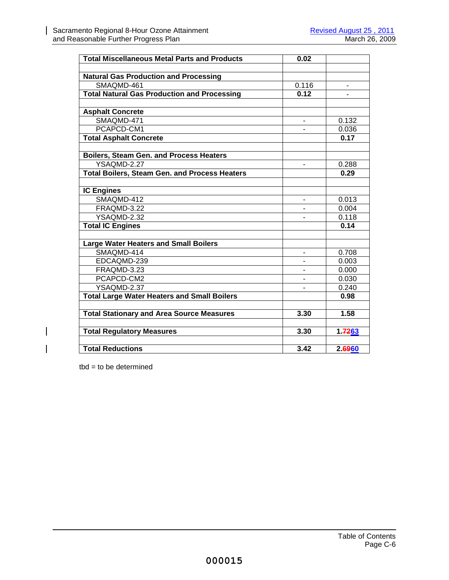H

 $\overline{\phantom{a}}$ 

 $\overline{\phantom{a}}$ 

| <b>Total Miscellaneous Metal Parts and Products</b>  | 0.02  |               |
|------------------------------------------------------|-------|---------------|
|                                                      |       |               |
| <b>Natural Gas Production and Processing</b>         |       |               |
| SMAQMD-461                                           | 0.116 |               |
| <b>Total Natural Gas Production and Processing</b>   | 0.12  |               |
| <b>Asphalt Concrete</b>                              |       |               |
| SMAQMD-471                                           |       | 0.132         |
| PCAPCD-CM1                                           |       |               |
|                                                      |       | 0.036<br>0.17 |
| <b>Total Asphalt Concrete</b>                        |       |               |
| Boilers, Steam Gen. and Process Heaters              |       |               |
| YSAQMD-2.27                                          |       | 0.288         |
| <b>Total Boilers, Steam Gen. and Process Heaters</b> |       | 0.29          |
|                                                      |       |               |
| <b>IC Engines</b>                                    |       |               |
| SMAQMD-412                                           |       | 0.013         |
| FRAQMD-3.22                                          |       | 0.004         |
| YSAQMD-2.32                                          |       | 0.118         |
| <b>Total IC Engines</b>                              |       | 0.14          |
|                                                      |       |               |
| <b>Large Water Heaters and Small Boilers</b>         |       |               |
| SMAQMD-414                                           |       | 0.708         |
| EDCAQMD-239                                          |       | 0.003         |
| FRAQMD-3.23                                          |       | 0.000         |
| PCAPCD-CM2                                           |       | 0.030         |
| YSAQMD-2.37                                          |       | 0.240         |
| <b>Total Large Water Heaters and Small Boilers</b>   |       | 0.98          |
| <b>Total Stationary and Area Source Measures</b>     | 3.30  | 1.58          |
|                                                      |       |               |
| <b>Total Regulatory Measures</b>                     | 3.30  | 1.7263        |
|                                                      |       |               |
| <b>Total Reductions</b>                              | 3.42  | 2.6960        |

tbd = to be determined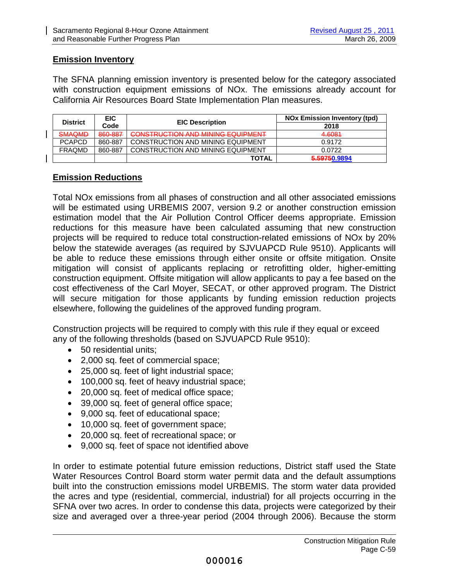# **Emission Inventory**

The SFNA planning emission inventory is presented below for the category associated with construction equipment emissions of NOx. The emissions already account for California Air Resources Board State Implementation Plan measures.

| <b>District</b> | <b>EIC</b> | <b>EIC Description</b>                                                              | <b>NOx Emission Inventory (tpd)</b> |
|-----------------|------------|-------------------------------------------------------------------------------------|-------------------------------------|
|                 | Code       |                                                                                     | 2018                                |
| <b>SMAQMD</b>   | 860-887    | CONSTRUCTION AND MINING EQUIPMENT<br><del>oono inoo ilon and minino Euch ment</del> | 4.6081                              |
| <b>PCAPCD</b>   | 860-887    | <b>CONSTRUCTION AND MINING EQUIPMENT</b>                                            | 0.9172                              |
| <b>FRAQMD</b>   | 860-887    | <b>CONSTRUCTION AND MINING EQUIPMENT</b>                                            | 0.0722                              |
|                 |            | <b>TOTAL</b>                                                                        | 5.59750.9894                        |

# **Emission Reductions**

 $\mathbf{I}$ 

Total NOx emissions from all phases of construction and all other associated emissions will be estimated using URBEMIS 2007, version 9.2 or another construction emission estimation model that the Air Pollution Control Officer deems appropriate. Emission reductions for this measure have been calculated assuming that new construction projects will be required to reduce total construction-related emissions of NOx by 20% below the statewide averages (as required by SJVUAPCD Rule 9510). Applicants will be able to reduce these emissions through either onsite or offsite mitigation. Onsite mitigation will consist of applicants replacing or retrofitting older, higher-emitting construction equipment. Offsite mitigation will allow applicants to pay a fee based on the cost effectiveness of the Carl Moyer, SECAT, or other approved program. The District will secure mitigation for those applicants by funding emission reduction projects elsewhere, following the guidelines of the approved funding program.

Construction projects will be required to comply with this rule if they equal or exceed any of the following thresholds (based on SJVUAPCD Rule 9510):

- 50 residential units;
- 2,000 sq. feet of commercial space;
- 25,000 sq. feet of light industrial space;
- 100,000 sq. feet of heavy industrial space;
- 20,000 sq. feet of medical office space;
- 39,000 sq. feet of general office space;
- 9,000 sq. feet of educational space;
- 10,000 sq. feet of government space;
- 20,000 sq. feet of recreational space; or
- 9,000 sq. feet of space not identified above

In order to estimate potential future emission reductions, District staff used the State Water Resources Control Board storm water permit data and the default assumptions built into the construction emissions model URBEMIS. The storm water data provided the acres and type (residential, commercial, industrial) for all projects occurring in the SFNA over two acres. In order to condense this data, projects were categorized by their size and averaged over a three-year period (2004 through 2006). Because the storm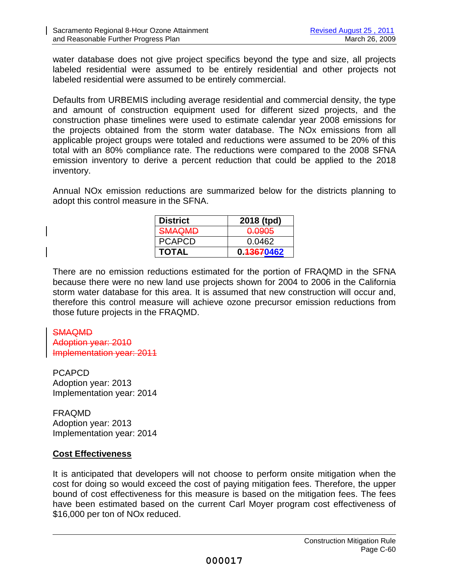water database does not give project specifics beyond the type and size, all projects labeled residential were assumed to be entirely residential and other projects not labeled residential were assumed to be entirely commercial.

Defaults from URBEMIS including average residential and commercial density, the type and amount of construction equipment used for different sized projects, and the construction phase timelines were used to estimate calendar year 2008 emissions for the projects obtained from the storm water database. The NOx emissions from all applicable project groups were totaled and reductions were assumed to be 20% of this total with an 80% compliance rate. The reductions were compared to the 2008 SFNA emission inventory to derive a percent reduction that could be applied to the 2018 inventory.

Annual NOx emission reductions are summarized below for the districts planning to adopt this control measure in the SFNA.

| <b>District</b>                   | 2018 (tpd)        |
|-----------------------------------|-------------------|
| <b>SMAOMD</b><br><del>ownum</del> | <del>0.0905</del> |
| <b>PCAPCD</b>                     | 0.0462            |
| <b>TOTAL</b>                      | 0.43670462        |

There are no emission reductions estimated for the portion of FRAQMD in the SFNA because there were no new land use projects shown for 2004 to 2006 in the California storm water database for this area. It is assumed that new construction will occur and, therefore this control measure will achieve ozone precursor emission reductions from those future projects in the FRAQMD.

# SMAQMD

Adoption year: 2010 Implementation year: 2011

PCAPCD Adoption year: 2013 Implementation year: 2014

FRAQMD Adoption year: 2013 Implementation year: 2014

# **Cost Effectiveness**

It is anticipated that developers will not choose to perform onsite mitigation when the cost for doing so would exceed the cost of paying mitigation fees. Therefore, the upper bound of cost effectiveness for this measure is based on the mitigation fees. The fees have been estimated based on the current Carl Moyer program cost effectiveness of \$16,000 per ton of NOx reduced.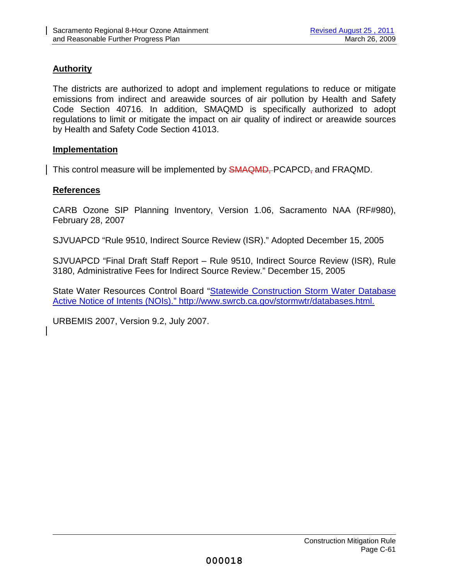# **Authority**

The districts are authorized to adopt and implement regulations to reduce or mitigate emissions from indirect and areawide sources of air pollution by Health and Safety Code Section 40716. In addition, SMAQMD is specifically authorized to adopt regulations to limit or mitigate the impact on air quality of indirect or areawide sources by Health and Safety Code Section 41013.

# **Implementation**

This control measure will be implemented by **SMAQMD**, PCAPCD<sub>7</sub> and FRAQMD.

# **References**

CARB Ozone SIP Planning Inventory, Version 1.06, Sacramento NAA (RF#980), February 28, 2007

SJVUAPCD "Rule 9510, Indirect Source Review (ISR)." Adopted December 15, 2005

SJVUAPCD "Final Draft Staff Report – Rule 9510, Indirect Source Review (ISR), Rule 3180, Administrative Fees for Indirect Source Review." December 15, 2005

State Water Resources Control Board "Statewide Construction Storm Water Database Active Notice of Intents (NOIs)." http://www.swrcb.ca.gov/stormwtr/databases.html.

URBEMIS 2007, Version 9.2, July 2007.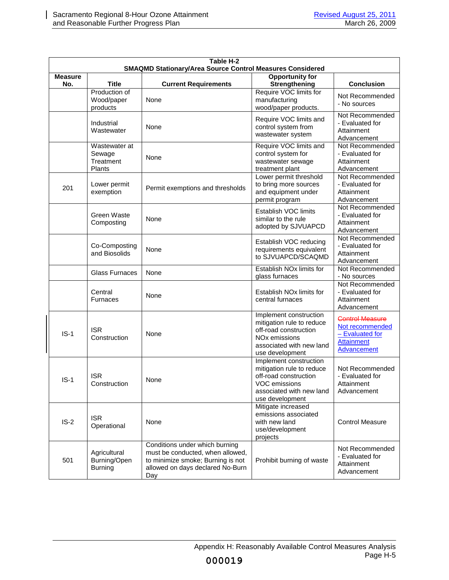| Table H-2<br><b>SMAQMD Stationary/Area Source Control Measures Considered</b> |                                                |                                                                                                                                                    |                                                                                                                                                          |                                                                                                    |
|-------------------------------------------------------------------------------|------------------------------------------------|----------------------------------------------------------------------------------------------------------------------------------------------------|----------------------------------------------------------------------------------------------------------------------------------------------------------|----------------------------------------------------------------------------------------------------|
| <b>Measure</b><br>No.                                                         | <b>Title</b>                                   | <b>Current Requirements</b>                                                                                                                        | <b>Opportunity for</b><br><b>Strengthening</b>                                                                                                           | <b>Conclusion</b>                                                                                  |
|                                                                               | Production of<br>Wood/paper<br>products        | None                                                                                                                                               | Require VOC limits for<br>manufacturing<br>wood/paper products.                                                                                          | Not Recommended<br>- No sources                                                                    |
|                                                                               | Industrial<br>Wastewater                       | None                                                                                                                                               | Require VOC limits and<br>control system from<br>wastewater system                                                                                       | Not Recommended<br>- Evaluated for<br>Attainment<br>Advancement                                    |
|                                                                               | Wastewater at<br>Sewage<br>Treatment<br>Plants | None                                                                                                                                               | Require VOC limits and<br>control system for<br>wastewater sewage<br>treatment plant                                                                     | Not Recommended<br>- Evaluated for<br>Attainment<br>Advancement                                    |
| 201                                                                           | Lower permit<br>exemption                      | Permit exemptions and thresholds                                                                                                                   | Lower permit threshold<br>to bring more sources<br>and equipment under<br>permit program                                                                 | Not Recommended<br>- Evaluated for<br>Attainment<br>Advancement                                    |
|                                                                               | Green Waste<br>Composting                      | None                                                                                                                                               | Establish VOC limits<br>similar to the rule<br>adopted by SJVUAPCD                                                                                       | Not Recommended<br>- Evaluated for<br>Attainment<br>Advancement                                    |
|                                                                               | Co-Composting<br>and Biosolids                 | None                                                                                                                                               | Establish VOC reducing<br>requirements equivalent<br>to SJVUAPCD/SCAQMD                                                                                  | Not Recommended<br>- Evaluated for<br>Attainment<br>Advancement                                    |
|                                                                               | <b>Glass Furnaces</b>                          | None                                                                                                                                               | Establish NO <sub>x</sub> limits for<br>glass furnaces                                                                                                   | Not Recommended<br>- No sources                                                                    |
|                                                                               | Central<br><b>Furnaces</b>                     | None                                                                                                                                               | Establish NO <sub>x</sub> limits for<br>central furnaces                                                                                                 | Not Recommended<br>- Evaluated for<br>Attainment<br>Advancement                                    |
| $IS-1$                                                                        | <b>ISR</b><br>Construction                     | None                                                                                                                                               | Implement construction<br>mitigation rule to reduce<br>off-road construction<br>NO <sub>x</sub> emissions<br>associated with new land<br>use development | <b>Control Measure</b><br>Not recommended<br>$-$ Evaluated for<br><b>Attainment</b><br>Advancement |
| $IS-1$                                                                        | <b>ISR</b><br>Construction                     | None                                                                                                                                               | Implement construction<br>mitigation rule to reduce<br>off-road construction<br>VOC emissions<br>associated with new land<br>use development             | Not Recommended<br>- Evaluated for<br>Attainment<br>Advancement                                    |
| $IS-2$                                                                        | <b>ISR</b><br>Operational                      | None                                                                                                                                               | Mitigate increased<br>emissions associated<br>with new land<br>use/development<br>projects                                                               | <b>Control Measure</b>                                                                             |
| 501                                                                           | Agricultural<br>Burning/Open<br><b>Burning</b> | Conditions under which burning<br>must be conducted, when allowed,<br>to minimize smoke; Burning is not<br>allowed on days declared No-Burn<br>Day | Prohibit burning of waste                                                                                                                                | Not Recommended<br>- Evaluated for<br>Attainment<br>Advancement                                    |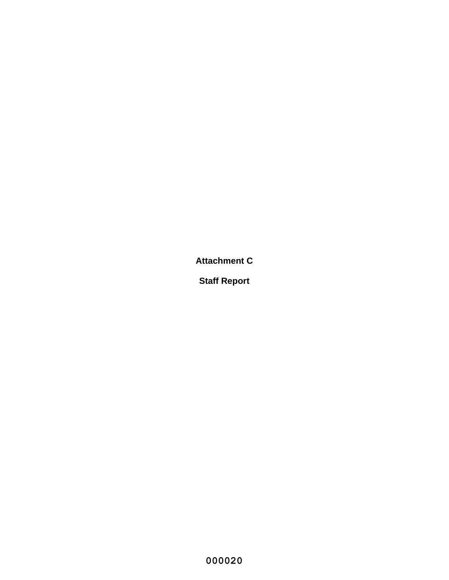**Attachment C**

**Staff Report**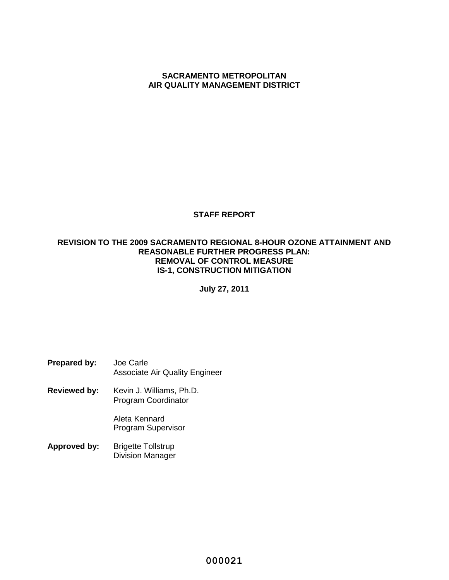#### **SACRAMENTO METROPOLITAN AIR QUALITY MANAGEMENT DISTRICT**

# **STAFF REPORT**

#### **REVISION TO THE 2009 SACRAMENTO REGIONAL 8-HOUR OZONE ATTAINMENT AND REASONABLE FURTHER PROGRESS PLAN: REMOVAL OF CONTROL MEASURE IS-1, CONSTRUCTION MITIGATION**

**July 27, 2011**

| Prepared by: | Joe Carle                             |
|--------------|---------------------------------------|
|              | <b>Associate Air Quality Engineer</b> |

**Reviewed by:** Kevin J. Williams, Ph.D. Program Coordinator

> Aleta Kennard Program Supervisor

**Approved by:** Brigette Tollstrup Division Manager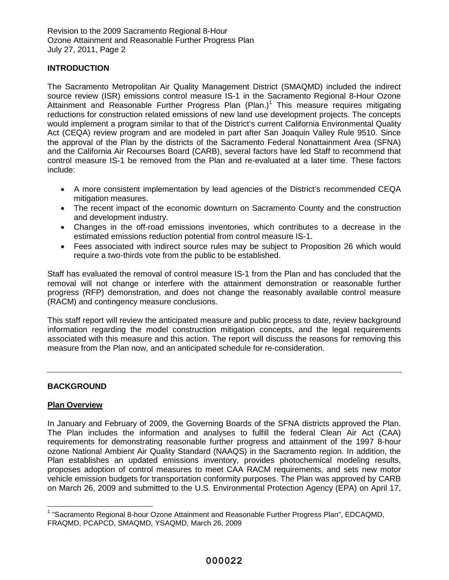# **INTRODUCTION**

The Sacramento Metropolitan Air Quality Management District (SMAQMD) included the indirect source review (ISR) emissions control measure IS-1 in the Sacramento Regional 8-Hour Ozone Attainment and Reasonable Further Progress Plan (Plan.)<sup>1</sup> This measure requires mitigating reductions for construction related emissions of new land use development projects. The concepts would implement a program similar to that of the District's current California Environmental Quality Act (CEQA) review program and are modeled in part after San Joaquin Valley Rule 9510. Since the approval of the Plan by the districts of the Sacramento Federal Nonattainment Area (SFNA) and the California Air Recourses Board (CARB), several factors have led Staff to recommend that control measure IS-1 be removed from the Plan and re-evaluated at a later time. These factors include:

- A more consistent implementation by lead agencies of the District's recommended CEQA mitigation measures.
- The recent impact of the economic downturn on Sacramento County and the construction and development industry.
- Changes in the off-road emissions inventories, which contributes to a decrease in the estimated emissions reduction potential from control measure IS-1.
- Fees associated with indirect source rules may be subject to Proposition 26 which would require a two-thirds vote from the public to be established.

Staff has evaluated the removal of control measure IS-1 from the Plan and has concluded that the removal will not change or interfere with the attainment demonstration or reasonable further progress (RFP) demonstration, and does not change the reasonably available control measure (RACM) and contingency measure conclusions.

This staff report will review the anticipated measure and public process to date, review background information regarding the model construction mitigation concepts, and the legal requirements associated with this measure and this action. The report will discuss the reasons for removing this measure from the Plan now, and an anticipated schedule for re-consideration.

# **BACKGROUND**

#### **Plan Overview**

In January and February of 2009, the Governing Boards of the SFNA districts approved the Plan. The Plan includes the information and analyses to fulfill the federal Clean Air Act (CAA) requirements for demonstrating reasonable further progress and attainment of the 1997 8-hour ozone National Ambient Air Quality Standard (NAAQS) in the Sacramento region. In addition, the Plan establishes an updated emissions inventory, provides photochemical modeling results, proposes adoption of control measures to meet CAA RACM requirements, and sets new motor vehicle emission budgets for transportation conformity purposes. The Plan was approved by CARB on March 26, 2009 and submitted to the U.S. Environmental Protection Agency (EPA) on April 17,

<sup>&</sup>lt;sup>1</sup> "Sacramento Regional 8-hour Ozone Attainment and Reasonable Further Progress Plan", EDCAQMD, FRAQMD, PCAPCD, SMAQMD, YSAQMD, March 26, 2009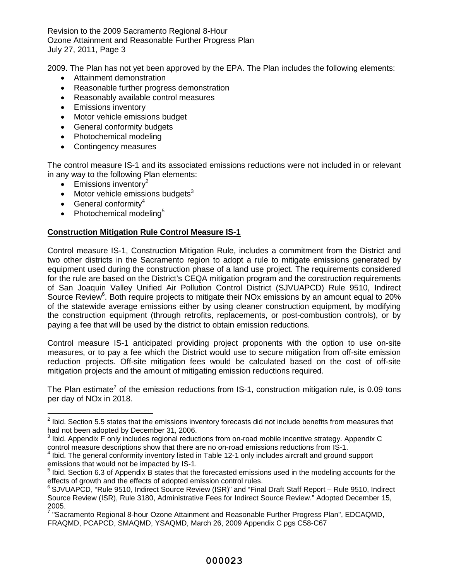2009. The Plan has not yet been approved by the EPA. The Plan includes the following elements:

- Attainment demonstration
- Reasonable further progress demonstration
- Reasonably available control measures
- **•** Emissions inventory
- Motor vehicle emissions budget
- General conformity budgets
- Photochemical modeling
- Contingency measures

The control measure IS-1 and its associated emissions reductions were not included in or relevant in any way to the following Plan elements:

- $\bullet$  Emissions inventory<sup>2</sup>
- $\bullet$  Motor vehicle emissions budgets<sup>3</sup>
- $\bullet$  General conformitv<sup>4</sup>
- Photochemical modeling<sup>5</sup>

# **Construction Mitigation Rule Control Measure IS-1**

Control measure IS-1, Construction Mitigation Rule, includes a commitment from the District and two other districts in the Sacramento region to adopt a rule to mitigate emissions generated by equipment used during the construction phase of a land use project. The requirements considered for the rule are based on the District's CEQA mitigation program and the construction requirements of San Joaquin Valley Unified Air Pollution Control District (SJVUAPCD) Rule 9510, Indirect Source Review<sup>6</sup>. Both require projects to mitigate their NOx emissions by an amount equal to 20% of the statewide average emissions either by using cleaner construction equipment, by modifying the construction equipment (through retrofits, replacements, or post-combustion controls), or by paying a fee that will be used by the district to obtain emission reductions.

Control measure IS-1 anticipated providing project proponents with the option to use on-site measures, or to pay a fee which the District would use to secure mitigation from off-site emission reduction projects. Off-site mitigation fees would be calculated based on the cost of off-site mitigation projects and the amount of mitigating emission reductions required.

The Plan estimate<sup>7</sup> of the emission reductions from IS-1, construction mitigation rule, is 0.09 tons per day of NOx in 2018.

 $^{2}$  Ibid. Section 5.5 states that the emissions inventory forecasts did not include benefits from measures that had not been adopted by December 31, 2006.

 $3$  Ibid. Appendix F only includes regional reductions from on-road mobile incentive strategy. Appendix C control measure descriptions show that there are no on-road emissions reductions from IS-1.

<sup>&</sup>lt;sup>4</sup> Ibid. The general conformity inventory listed in Table 12-1 only includes aircraft and ground support emissions that would not be impacted by IS-1.

<sup>&</sup>lt;sup>5</sup> Ibid. Section 6.3 of Appendix B states that the forecasted emissions used in the modeling accounts for the effects of growth and the effects of adopted emission control rules.

 $6$  SJVUAPCD, "Rule 9510, Indirect Source Review (ISR)" and "Final Draft Staff Report – Rule 9510, Indirect Source Review (ISR), Rule 3180, Administrative Fees for Indirect Source Review." Adopted December 15, 2005.

<sup>&</sup>lt;sup>7</sup> "Sacramento Regional 8-hour Ozone Attainment and Reasonable Further Progress Plan", EDCAQMD, FRAQMD, PCAPCD, SMAQMD, YSAQMD, March 26, 2009 Appendix C pgs C58-C67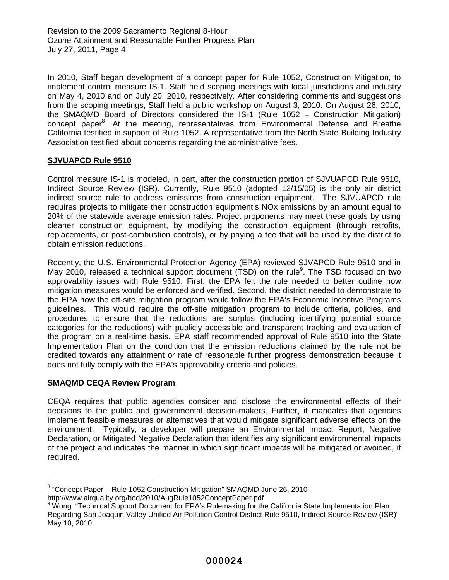In 2010, Staff began development of a concept paper for Rule 1052, Construction Mitigation, to implement control measure IS-1. Staff held scoping meetings with local jurisdictions and industry on May 4, 2010 and on July 20, 2010, respectively. After considering comments and suggestions from the scoping meetings, Staff held a public workshop on August 3, 2010. On August 26, 2010, the SMAQMD Board of Directors considered the IS-1 (Rule 1052 – Construction Mitigation) concept paper<sup>8</sup>. At the meeting, representatives from Environmental Defense and Breathe California testified in support of Rule 1052. A representative from the North State Building Industry Association testified about concerns regarding the administrative fees.

# **SJVUAPCD Rule 9510**

Control measure IS-1 is modeled, in part, after the construction portion of SJVUAPCD Rule 9510, Indirect Source Review (ISR). Currently, Rule 9510 (adopted 12/15/05) is the only air district indirect source rule to address emissions from construction equipment. The SJVUAPCD rule requires projects to mitigate their construction equipment's NOx emissions by an amount equal to 20% of the statewide average emission rates. Project proponents may meet these goals by using cleaner construction equipment, by modifying the construction equipment (through retrofits, replacements, or post-combustion controls), or by paying a fee that will be used by the district to obtain emission reductions.

Recently, the U.S. Environmental Protection Agency (EPA) reviewed SJVAPCD Rule 9510 and in May 2010, released a technical support document (TSD) on the rule<sup>9</sup>. The TSD focused on two approvability issues with Rule 9510. First, the EPA felt the rule needed to better outline how mitigation measures would be enforced and verified. Second, the district needed to demonstrate to the EPA how the off-site mitigation program would follow the EPA's Economic Incentive Programs guidelines. This would require the off-site mitigation program to include criteria, policies, and procedures to ensure that the reductions are surplus (including identifying potential source categories for the reductions) with publicly accessible and transparent tracking and evaluation of the program on a real-time basis. EPA staff recommended approval of Rule 9510 into the State Implementation Plan on the condition that the emission reductions claimed by the rule not be credited towards any attainment or rate of reasonable further progress demonstration because it does not fully comply with the EPA's approvability criteria and policies.

# **SMAQMD CEQA Review Program**

CEQA requires that public agencies consider and disclose the environmental effects of their decisions to the public and governmental decision-makers. Further, it mandates that agencies implement feasible measures or alternatives that would mitigate significant adverse effects on the environment. Typically, a developer will prepare an Environmental Impact Report, Negative Declaration, or Mitigated Negative Declaration that identifies any significant environmental impacts of the project and indicates the manner in which significant impacts will be mitigated or avoided, if required.

<sup>&</sup>lt;sup>8</sup> "Concept Paper - Rule 1052 Construction Mitigation" SMAQMD June 26, 2010 http://www.airquality.org/bod/2010/AugRule1052ConceptPaper.pdf

<sup>&</sup>lt;sup>9</sup> Wong. "Technical Support Document for EPA's Rulemaking for the California State Implementation Plan

Regarding San Joaquin Valley Unified Air Pollution Control District Rule 9510, Indirect Source Review (ISR)" May 10, 2010.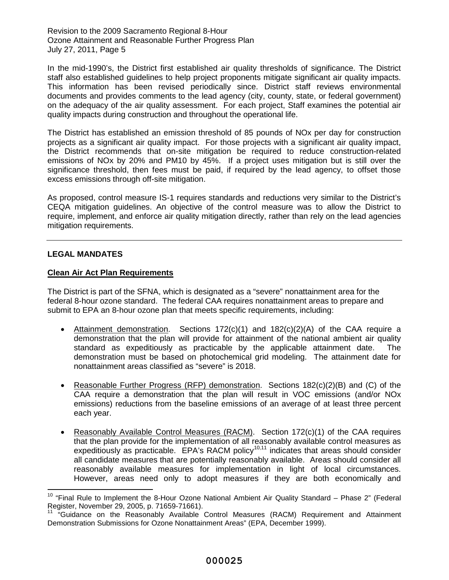In the mid-1990's, the District first established air quality thresholds of significance. The District staff also established guidelines to help project proponents mitigate significant air quality impacts. This information has been revised periodically since. District staff reviews environmental documents and provides comments to the lead agency (city, county, state, or federal government) on the adequacy of the air quality assessment. For each project, Staff examines the potential air quality impacts during construction and throughout the operational life.

The District has established an emission threshold of 85 pounds of NOx per day for construction projects as a significant air quality impact. For those projects with a significant air quality impact, the District recommends that on-site mitigation be required to reduce construction-related emissions of NOx by 20% and PM10 by 45%. If a project uses mitigation but is still over the significance threshold, then fees must be paid, if required by the lead agency, to offset those excess emissions through off-site mitigation.

As proposed, control measure IS-1 requires standards and reductions very similar to the District's CEQA mitigation guidelines. An objective of the control measure was to allow the District to require, implement, and enforce air quality mitigation directly, rather than rely on the lead agencies mitigation requirements.

#### **LEGAL MANDATES**

#### **Clean Air Act Plan Requirements**

The District is part of the SFNA, which is designated as a "severe" nonattainment area for the federal 8-hour ozone standard. The federal CAA requires nonattainment areas to prepare and submit to EPA an 8-hour ozone plan that meets specific requirements, including:

- Attainment demonstration. Sections 172(c)(1) and 182(c)(2)(A) of the CAA require a demonstration that the plan will provide for attainment of the national ambient air quality standard as expeditiously as practicable by the applicable attainment date. The demonstration must be based on photochemical grid modeling. The attainment date for nonattainment areas classified as "severe" is 2018.
- Reasonable Further Progress (RFP) demonstration. Sections  $182(c)(2)(B)$  and (C) of the CAA require a demonstration that the plan will result in VOC emissions (and/or NOx emissions) reductions from the baseline emissions of an average of at least three percent each year.
- Reasonably Available Control Measures (RACM). Section 172(c)(1) of the CAA requires that the plan provide for the implementation of all reasonably available control measures as expeditiously as practicable. EPA's RACM policy<sup>10,11</sup> indicates that areas should consider all candidate measures that are potentially reasonably available. Areas should consider all reasonably available measures for implementation in light of local circumstances. However, areas need only to adopt measures if they are both economically and

<sup>&</sup>lt;sup>10</sup> "Final Rule to Implement the 8-Hour Ozone National Ambient Air Quality Standard – Phase 2" (Federal Register, November 29, 2005, p. 71659-71661).

<sup>11</sup> "Guidance on the Reasonably Available Control Measures (RACM) Requirement and Attainment Demonstration Submissions for Ozone Nonattainment Areas" (EPA, December 1999).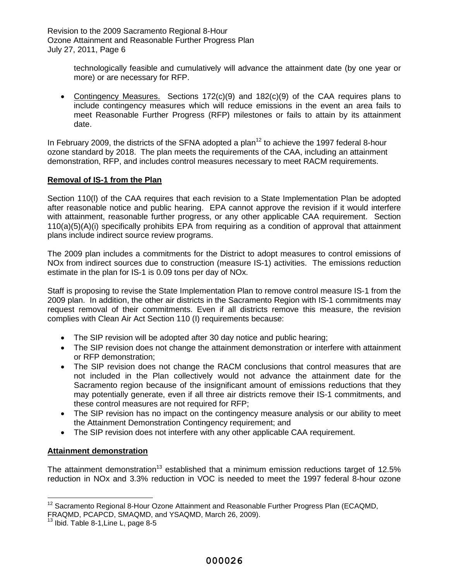> technologically feasible and cumulatively will advance the attainment date (by one year or more) or are necessary for RFP.

• Contingency Measures. Sections 172(c)(9) and 182(c)(9) of the CAA requires plans to include contingency measures which will reduce emissions in the event an area fails to meet Reasonable Further Progress (RFP) milestones or fails to attain by its attainment date.

In February 2009, the districts of the SFNA adopted a plan<sup>12</sup> to achieve the 1997 federal 8-hour ozone standard by 2018. The plan meets the requirements of the CAA, including an attainment demonstration, RFP, and includes control measures necessary to meet RACM requirements.

# **Removal of IS-1 from the Plan**

Section 110(l) of the CAA requires that each revision to a State Implementation Plan be adopted after reasonable notice and public hearing. EPA cannot approve the revision if it would interfere with attainment, reasonable further progress, or any other applicable CAA requirement. Section 110(a)(5)(A)(i) specifically prohibits EPA from requiring as a condition of approval that attainment plans include indirect source review programs.

The 2009 plan includes a commitments for the District to adopt measures to control emissions of NOx from indirect sources due to construction (measure IS-1) activities. The emissions reduction estimate in the plan for IS-1 is 0.09 tons per day of NOx.

Staff is proposing to revise the State Implementation Plan to remove control measure IS-1 from the 2009 plan. In addition, the other air districts in the Sacramento Region with IS-1 commitments may request removal of their commitments. Even if all districts remove this measure, the revision complies with Clean Air Act Section 110 (I) requirements because:

- The SIP revision will be adopted after 30 day notice and public hearing;
- The SIP revision does not change the attainment demonstration or interfere with attainment or RFP demonstration;
- The SIP revision does not change the RACM conclusions that control measures that are not included in the Plan collectively would not advance the attainment date for the Sacramento region because of the insignificant amount of emissions reductions that they may potentially generate, even if all three air districts remove their IS-1 commitments, and these control measures are not required for RFP;
- The SIP revision has no impact on the contingency measure analysis or our ability to meet the Attainment Demonstration Contingency requirement; and
- The SIP revision does not interfere with any other applicable CAA requirement.

#### **Attainment demonstration**

The attainment demonstration<sup>13</sup> established that a minimum emission reductions target of 12.5% reduction in NOx and 3.3% reduction in VOC is needed to meet the 1997 federal 8-hour ozone

 $12$  Sacramento Regional 8-Hour Ozone Attainment and Reasonable Further Progress Plan (ECAQMD, FRAQMD, PCAPCD, SMAQMD, and YSAQMD, March 26, 2009).

 $^{13}$  Ibid. Table 8-1, Line L, page 8-5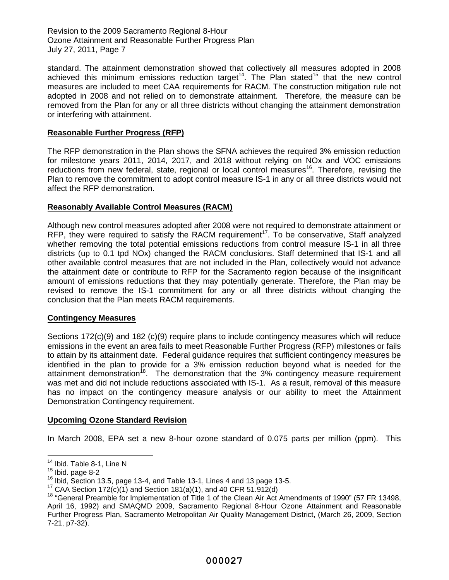standard. The attainment demonstration showed that collectively all measures adopted in 2008 achieved this minimum emissions reduction target<sup>14</sup>. The Plan stated<sup>15</sup> that the new control measures are included to meet CAA requirements for RACM. The construction mitigation rule not adopted in 2008 and not relied on to demonstrate attainment. Therefore, the measure can be removed from the Plan for any or all three districts without changing the attainment demonstration or interfering with attainment.

# **Reasonable Further Progress (RFP)**

The RFP demonstration in the Plan shows the SFNA achieves the required 3% emission reduction for milestone years 2011, 2014, 2017, and 2018 without relying on NOx and VOC emissions reductions from new federal, state, regional or local control measures<sup>16</sup>. Therefore, revising the Plan to remove the commitment to adopt control measure IS-1 in any or all three districts would not affect the RFP demonstration.

# **Reasonably Available Control Measures (RACM)**

Although new control measures adopted after 2008 were not required to demonstrate attainment or RFP, they were required to satisfy the RACM requirement<sup>17</sup>. To be conservative, Staff analyzed whether removing the total potential emissions reductions from control measure IS-1 in all three districts (up to 0.1 tpd NOx) changed the RACM conclusions. Staff determined that IS-1 and all other available control measures that are not included in the Plan, collectively would not advance the attainment date or contribute to RFP for the Sacramento region because of the insignificant amount of emissions reductions that they may potentially generate. Therefore, the Plan may be revised to remove the IS-1 commitment for any or all three districts without changing the conclusion that the Plan meets RACM requirements.

# **Contingency Measures**

Sections 172(c)(9) and 182 (c)(9) require plans to include contingency measures which will reduce emissions in the event an area fails to meet Reasonable Further Progress (RFP) milestones or fails to attain by its attainment date. Federal guidance requires that sufficient contingency measures be identified in the plan to provide for a 3% emission reduction beyond what is needed for the attainment demonstration<sup>18</sup>. The demonstration that the 3% contingency measure requirement was met and did not include reductions associated with IS-1. As a result, removal of this measure has no impact on the contingency measure analysis or our ability to meet the Attainment Demonstration Contingency requirement.

# **Upcoming Ozone Standard Revision**

In March 2008, EPA set a new 8-hour ozone standard of 0.075 parts per million (ppm). This

<sup>&</sup>lt;sup>14</sup> Ibid. Table 8-1, Line N

 $15$  Ibid. page 8-2

 $16$  Ibid, Section 13.5, page 13-4, and Table 13-1, Lines 4 and 13 page 13-5.

 $17$  CAA Section 172(c)(1) and Section 181(a)(1), and 40 CFR 51.912(d)

<sup>&</sup>lt;sup>18</sup> "General Preamble for Implementation of Title 1 of the Clean Air Act Amendments of 1990" (57 FR 13498, April 16, 1992) and SMAQMD 2009, Sacramento Regional 8-Hour Ozone Attainment and Reasonable Further Progress Plan, Sacramento Metropolitan Air Quality Management District, (March 26, 2009, Section 7-21, p7-32).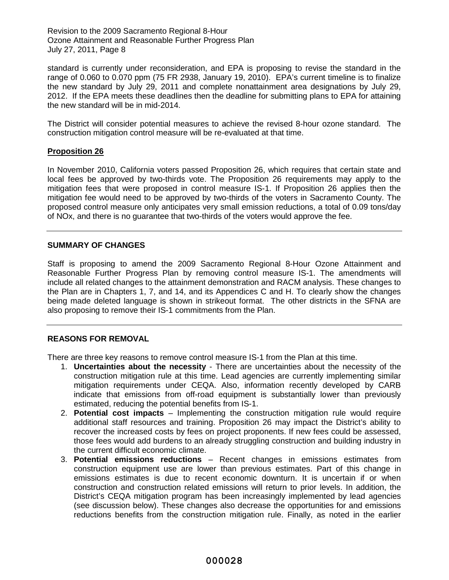standard is currently under reconsideration, and EPA is proposing to revise the standard in the range of 0.060 to 0.070 ppm (75 FR 2938, January 19, 2010). EPA's current timeline is to finalize the new standard by July 29, 2011 and complete nonattainment area designations by July 29, 2012. If the EPA meets these deadlines then the deadline for submitting plans to EPA for attaining the new standard will be in mid-2014.

The District will consider potential measures to achieve the revised 8-hour ozone standard. The construction mitigation control measure will be re-evaluated at that time.

#### **Proposition 26**

In November 2010, California voters passed Proposition 26, which requires that certain state and local fees be approved by two-thirds vote. The Proposition 26 requirements may apply to the mitigation fees that were proposed in control measure IS-1. If Proposition 26 applies then the mitigation fee would need to be approved by two-thirds of the voters in Sacramento County. The proposed control measure only anticipates very small emission reductions, a total of 0.09 tons/day of NOx, and there is no guarantee that two-thirds of the voters would approve the fee.

#### **SUMMARY OF CHANGES**

Staff is proposing to amend the 2009 Sacramento Regional 8-Hour Ozone Attainment and Reasonable Further Progress Plan by removing control measure IS-1. The amendments will include all related changes to the attainment demonstration and RACM analysis. These changes to the Plan are in Chapters 1, 7, and 14, and its Appendices C and H. To clearly show the changes being made deleted language is shown in strikeout format. The other districts in the SFNA are also proposing to remove their IS-1 commitments from the Plan.

# **REASONS FOR REMOVAL**

There are three key reasons to remove control measure IS-1 from the Plan at this time.

- 1. **Uncertainties about the necessity** There are uncertainties about the necessity of the construction mitigation rule at this time. Lead agencies are currently implementing similar mitigation requirements under CEQA. Also, information recently developed by CARB indicate that emissions from off-road equipment is substantially lower than previously estimated, reducing the potential benefits from IS-1.
- 2. **Potential cost impacts** Implementing the construction mitigation rule would require additional staff resources and training. Proposition 26 may impact the District's ability to recover the increased costs by fees on project proponents. If new fees could be assessed, those fees would add burdens to an already struggling construction and building industry in the current difficult economic climate.
- 3. **Potential emissions reductions** Recent changes in emissions estimates from construction equipment use are lower than previous estimates. Part of this change in emissions estimates is due to recent economic downturn. It is uncertain if or when construction and construction related emissions will return to prior levels. In addition, the District's CEQA mitigation program has been increasingly implemented by lead agencies (see discussion below). These changes also decrease the opportunities for and emissions reductions benefits from the construction mitigation rule. Finally, as noted in the earlier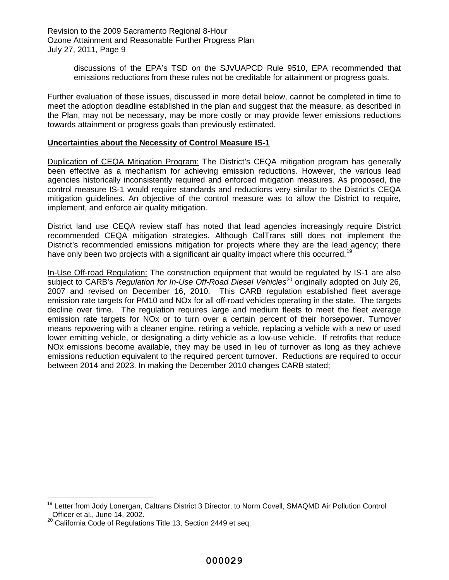discussions of the EPA's TSD on the SJVUAPCD Rule 9510, EPA recommended that emissions reductions from these rules not be creditable for attainment or progress goals.

Further evaluation of these issues, discussed in more detail below, cannot be completed in time to meet the adoption deadline established in the plan and suggest that the measure, as described in the Plan, may not be necessary, may be more costly or may provide fewer emissions reductions towards attainment or progress goals than previously estimated.

#### **Uncertainties about the Necessity of Control Measure IS-1**

Duplication of CEQA Mitigation Program: The District's CEQA mitigation program has generally been effective as a mechanism for achieving emission reductions. However, the various lead agencies historically inconsistently required and enforced mitigation measures. As proposed, the control measure IS-1 would require standards and reductions very similar to the District's CEQA mitigation guidelines. An objective of the control measure was to allow the District to require, implement, and enforce air quality mitigation.

District land use CEQA review staff has noted that lead agencies increasingly require District recommended CEQA mitigation strategies. Although CalTrans still does not implement the District's recommended emissions mitigation for projects where they are the lead agency; there have only been two projects with a significant air quality impact where this occurred.<sup>19</sup>

In-Use Off-road Regulation: The construction equipment that would be regulated by IS-1 are also subject to CARB's *Regulation for In-Use Off-Road Diesel Vehicles*<sup>20</sup> originally adopted on July 26, 2007 and revised on December 16, 2010. This CARB regulation established fleet average emission rate targets for PM10 and NOx for all off-road vehicles operating in the state. The targets decline over time. The regulation requires large and medium fleets to meet the fleet average emission rate targets for NOx or to turn over a certain percent of their horsepower. Turnover means repowering with a cleaner engine, retiring a vehicle, replacing a vehicle with a new or used lower emitting vehicle, or designating a dirty vehicle as a low-use vehicle. If retrofits that reduce NOx emissions become available, they may be used in lieu of turnover as long as they achieve emissions reduction equivalent to the required percent turnover. Reductions are required to occur between 2014 and 2023. In making the December 2010 changes CARB stated;

<sup>&</sup>lt;sup>19</sup> Letter from Jody Lonergan, Caltrans District 3 Director, to Norm Covell, SMAQMD Air Pollution Control Officer et al., June 14, 2002.

<sup>&</sup>lt;sup>20</sup> California Code of Regulations Title 13, Section 2449 et seq.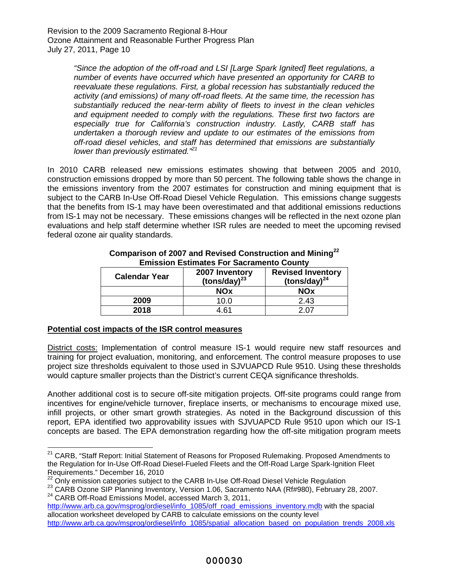*"Since the adoption of the off-road and LSI [Large Spark Ignited] fleet regulations, a number of events have occurred which have presented an opportunity for CARB to reevaluate these regulations. First, a global recession has substantially reduced the activity (and emissions) of many off-road fleets. At the same time, the recession has substantially reduced the near-term ability of fleets to invest in the clean vehicles and equipment needed to comply with the regulations. These first two factors are especially true for California's construction industry. Lastly, CARB staff has undertaken a thorough review and update to our estimates of the emissions from off-road diesel vehicles, and staff has determined that emissions are substantially lower than previously estimated."<sup>21</sup>*

In 2010 CARB released new emissions estimates showing that between 2005 and 2010, construction emissions dropped by more than 50 percent. The following table shows the change in the emissions inventory from the 2007 estimates for construction and mining equipment that is subject to the CARB In-Use Off-Road Diesel Vehicle Regulation. This emissions change suggests that the benefits from IS-1 may have been overestimated and that additional emissions reductions from IS-1 may not be necessary. These emissions changes will be reflected in the next ozone plan evaluations and help staff determine whether ISR rules are needed to meet the upcoming revised federal ozone air quality standards.

| ENNOUVN EUGHRAGU I UI UAURANIUTIO UUGHR |                                      |                                                |
|-----------------------------------------|--------------------------------------|------------------------------------------------|
| <b>Calendar Year</b>                    | 2007 Inventory<br>(tons/day) $^{23}$ | <b>Revised Inventory</b><br>(tons/day) $^{24}$ |
|                                         | <b>NOx</b>                           | <b>NOx</b>                                     |
| 2009                                    | 10.0                                 | 2.43                                           |
| 2018                                    | 4.61                                 | 2.07                                           |

#### **Comparison of 2007 and Revised Construction and Mining<sup>22</sup> Emission Estimates For Sacramento County**

# **Potential cost impacts of the ISR control measures**

District costs: Implementation of control measure IS-1 would require new staff resources and training for project evaluation, monitoring, and enforcement. The control measure proposes to use project size thresholds equivalent to those used in SJVUAPCD Rule 9510. Using these thresholds would capture smaller projects than the District's current CEQA significance thresholds.

Another additional cost is to secure off-site mitigation projects. Off-site programs could range from incentives for engine/vehicle turnover, fireplace inserts, or mechanisms to encourage mixed use, infill projects, or other smart growth strategies. As noted in the Background discussion of this report, EPA identified two approvability issues with SJVUAPCD Rule 9510 upon which our IS-1 concepts are based. The EPA demonstration regarding how the off-site mitigation program meets

<sup>&</sup>lt;sup>21</sup> CARB, "Staff Report: Initial Statement of Reasons for Proposed Rulemaking. Proposed Amendments to the Regulation for In-Use Off-Road Diesel-Fueled Fleets and the Off-Road Large Spark-Ignition Fleet Requirements." December 16, 2010

 $22$  Only emission categories subject to the CARB In-Use Off-Road Diesel Vehicle Regulation

<sup>&</sup>lt;sup>23</sup> CARB Ozone SIP Planning Inventory, Version 1.06, Sacramento NAA (Rf#980), February 28, 2007. <sup>24</sup> CARB Off-Road Emissions Model, accessed March 3, 2011,

http://www.arb.ca.gov/msprog/ordiesel/info\_1085/off\_road\_emissions\_inventory.mdb with the spacial allocation worksheet developed by CARB to calculate emissions on the county level http://www.arb.ca.gov/msprog/ordiesel/info\_1085/spatial\_allocation\_based\_on\_population\_trends\_2008.xls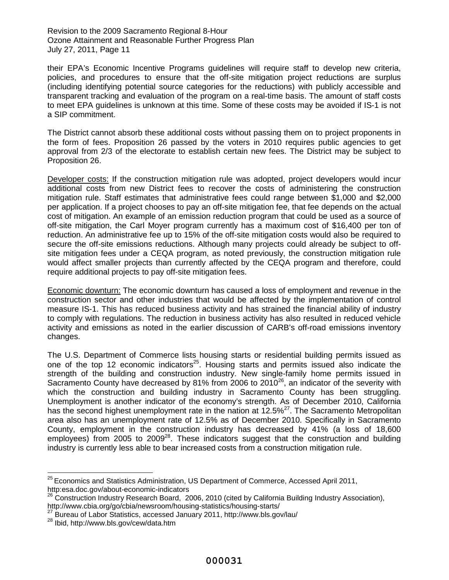their EPA's Economic Incentive Programs guidelines will require staff to develop new criteria, policies, and procedures to ensure that the off-site mitigation project reductions are surplus (including identifying potential source categories for the reductions) with publicly accessible and transparent tracking and evaluation of the program on a real-time basis. The amount of staff costs to meet EPA guidelines is unknown at this time. Some of these costs may be avoided if IS-1 is not a SIP commitment.

The District cannot absorb these additional costs without passing them on to project proponents in the form of fees. Proposition 26 passed by the voters in 2010 requires public agencies to get approval from 2/3 of the electorate to establish certain new fees. The District may be subject to Proposition 26.

Developer costs: If the construction mitigation rule was adopted, project developers would incur additional costs from new District fees to recover the costs of administering the construction mitigation rule. Staff estimates that administrative fees could range between \$1,000 and \$2,000 per application. If a project chooses to pay an off-site mitigation fee, that fee depends on the actual cost of mitigation. An example of an emission reduction program that could be used as a source of off-site mitigation, the Carl Moyer program currently has a maximum cost of \$16,400 per ton of reduction. An administrative fee up to 15% of the off-site mitigation costs would also be required to secure the off-site emissions reductions. Although many projects could already be subject to offsite mitigation fees under a CEQA program, as noted previously, the construction mitigation rule would affect smaller projects than currently affected by the CEQA program and therefore, could require additional projects to pay off-site mitigation fees.

Economic downturn: The economic downturn has caused a loss of employment and revenue in the construction sector and other industries that would be affected by the implementation of control measure IS-1. This has reduced business activity and has strained the financial ability of industry to comply with regulations. The reduction in business activity has also resulted in reduced vehicle activity and emissions as noted in the earlier discussion of CARB's off-road emissions inventory changes.

The U.S. Department of Commerce lists housing starts or residential building permits issued as one of the top 12 economic indicators<sup>25</sup>. Housing starts and permits issued also indicate the strength of the building and construction industry. New single-family home permits issued in Sacramento County have decreased by 81% from 2006 to 2010<sup>26</sup>, an indicator of the severity with which the construction and building industry in Sacramento County has been struggling. Unemployment is another indicator of the economy's strength. As of December 2010, California has the second highest unemployment rate in the nation at 12.5%<sup>27</sup>. The Sacramento Metropolitan area also has an unemployment rate of 12.5% as of December 2010. Specifically in Sacramento County, employment in the construction industry has decreased by 41% (a loss of 18,600 employees) from 2005 to 2009<sup>28</sup>. These indicators suggest that the construction and building industry is currently less able to bear increased costs from a construction mitigation rule.

 $25$  Economics and Statistics Administration, US Department of Commerce, Accessed April 2011, http:esa.doc.gov/about-economic-indicators

<sup>&</sup>lt;sup>26</sup> Construction Industry Research Board, 2006, 2010 (cited by California Building Industry Association), http://www.cbia.org/go/cbia/newsroom/housing-statistics/housing-starts/

<sup>&</sup>lt;sup>27</sup> Bureau of Labor Statistics, accessed January 2011, http://www.bls.gov/lau/

<sup>28</sup> Ibid, http://www.bls.gov/cew/data.htm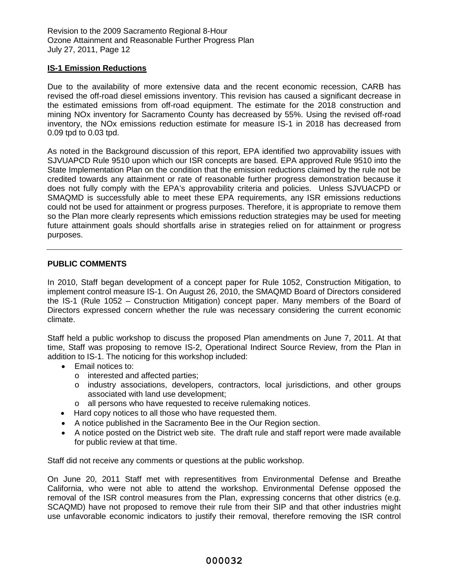#### **IS-1 Emission Reductions**

Due to the availability of more extensive data and the recent economic recession, CARB has revised the off-road diesel emissions inventory. This revision has caused a significant decrease in the estimated emissions from off-road equipment. The estimate for the 2018 construction and mining NOx inventory for Sacramento County has decreased by 55%. Using the revised off-road inventory, the NOx emissions reduction estimate for measure IS-1 in 2018 has decreased from 0.09 tpd to 0.03 tpd.

As noted in the Background discussion of this report, EPA identified two approvability issues with SJVUAPCD Rule 9510 upon which our ISR concepts are based. EPA approved Rule 9510 into the State Implementation Plan on the condition that the emission reductions claimed by the rule not be credited towards any attainment or rate of reasonable further progress demonstration because it does not fully comply with the EPA's approvability criteria and policies. Unless SJVUACPD or SMAQMD is successfully able to meet these EPA requirements, any ISR emissions reductions could not be used for attainment or progress purposes. Therefore, it is appropriate to remove them so the Plan more clearly represents which emissions reduction strategies may be used for meeting future attainment goals should shortfalls arise in strategies relied on for attainment or progress purposes.

#### **PUBLIC COMMENTS**

In 2010, Staff began development of a concept paper for Rule 1052, Construction Mitigation, to implement control measure IS-1. On August 26, 2010, the SMAQMD Board of Directors considered the IS-1 (Rule 1052 – Construction Mitigation) concept paper. Many members of the Board of Directors expressed concern whether the rule was necessary considering the current economic climate.

Staff held a public workshop to discuss the proposed Plan amendments on June 7, 2011. At that time, Staff was proposing to remove IS-2, Operational Indirect Source Review, from the Plan in addition to IS-1. The noticing for this workshop included:

- Email notices to:
	- o interested and affected parties;
	- o industry associations, developers, contractors, local jurisdictions, and other groups associated with land use development;
	- o all persons who have requested to receive rulemaking notices.
- Hard copy notices to all those who have requested them.
- A notice published in the Sacramento Bee in the Our Region section.
- A notice posted on the District web site. The draft rule and staff report were made available for public review at that time.

Staff did not receive any comments or questions at the public workshop.

On June 20, 2011 Staff met with representitives from Environmental Defense and Breathe California, who were not able to attend the workshop. Environmental Defense opposed the removal of the ISR control measures from the Plan, expressing concerns that other districs (e.g. SCAQMD) have not proposed to remove their rule from their SIP and that other industries might use unfavorable economic indicators to justify their removal, therefore removing the ISR control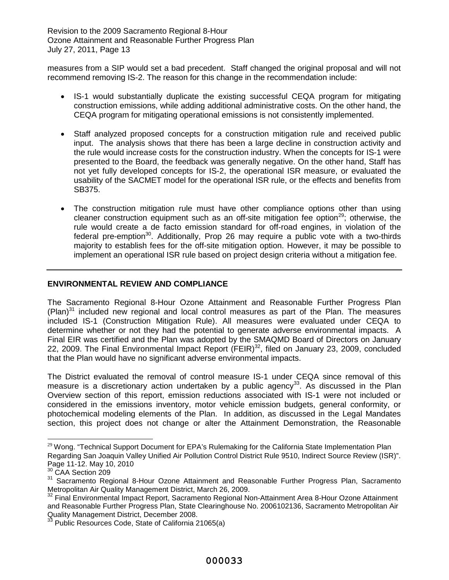measures from a SIP would set a bad precedent. Staff changed the original proposal and will not recommend removing IS-2. The reason for this change in the recommendation include:

- IS-1 would substantially duplicate the existing successful CEQA program for mitigating construction emissions, while adding additional administrative costs. On the other hand, the CEQA program for mitigating operational emissions is not consistently implemented.
- Staff analyzed proposed concepts for a construction mitigation rule and received public input. The analysis shows that there has been a large decline in construction activity and the rule would increase costs for the construction industry. When the concepts for IS-1 were presented to the Board, the feedback was generally negative. On the other hand, Staff has not yet fully developed concepts for IS-2, the operational ISR measure, or evaluated the usability of the SACMET model for the operational ISR rule, or the effects and benefits from SB375.
- The construction mitigation rule must have other compliance options other than using cleaner construction equipment such as an off-site mitigation fee option<sup>29</sup>; otherwise, the rule would create a de facto emission standard for off-road engines, in violation of the federal pre-emption<sup>30</sup>. Additionally, Prop 26 may require a public vote with a two-thirds majority to establish fees for the off-site mitigation option. However, it may be possible to implement an operational ISR rule based on project design criteria without a mitigation fee.

# **ENVIRONMENTAL REVIEW AND COMPLIANCE**

The Sacramento Regional 8-Hour Ozone Attainment and Reasonable Further Progress Plan  $(Plan)^{31}$  included new regional and local control measures as part of the Plan. The measures included IS-1 (Construction Mitigation Rule). All measures were evaluated under CEQA to determine whether or not they had the potential to generate adverse environmental impacts. A Final EIR was certified and the Plan was adopted by the SMAQMD Board of Directors on January 22, 2009. The Final Environmental Impact Report (FEIR)<sup>32</sup>, filed on January 23, 2009, concluded that the Plan would have no significant adverse environmental impacts.

The District evaluated the removal of control measure IS-1 under CEQA since removal of this measure is a discretionary action undertaken by a public agency<sup>33</sup>. As discussed in the Plan Overview section of this report, emission reductions associated with IS-1 were not included or considered in the emissions inventory, motor vehicle emission budgets, general conformity, or photochemical modeling elements of the Plan. In addition, as discussed in the Legal Mandates section, this project does not change or alter the Attainment Demonstration, the Reasonable

<sup>&</sup>lt;sup>29</sup> Wong. "Technical Support Document for EPA's Rulemaking for the California State Implementation Plan Regarding San Joaquin Valley Unified Air Pollution Control District Rule 9510, Indirect Source Review (ISR)". Page 11-12. May 10, 2010

 $30$  CAA Section 209

<sup>&</sup>lt;sup>31</sup> Sacramento Regional 8-Hour Ozone Attainment and Reasonable Further Progress Plan, Sacramento Metropolitan Air Quality Management District, March 26, 2009.

<sup>32</sup> Final Environmental Impact Report, Sacramento Regional Non-Attainment Area 8-Hour Ozone Attainment and Reasonable Further Progress Plan, State Clearinghouse No. 2006102136, Sacramento Metropolitan Air Quality Management District, December 2008.

Public Resources Code, State of California 21065(a)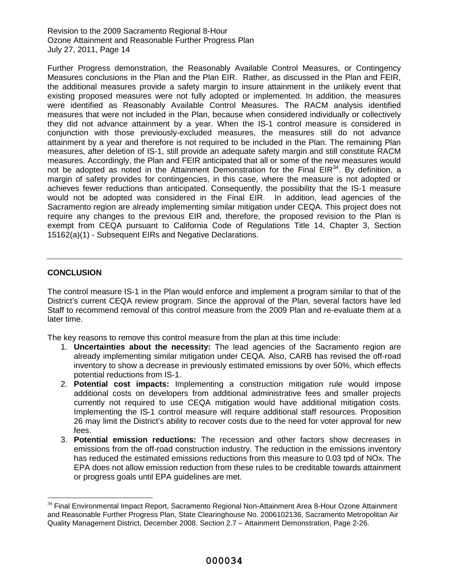Further Progress demonstration, the Reasonably Available Control Measures, or Contingency Measures conclusions in the Plan and the Plan EIR. Rather, as discussed in the Plan and FEIR, the additional measures provide a safety margin to insure attainment in the unlikely event that existing proposed measures were not fully adopted or implemented. In addition, the measures were identified as Reasonably Available Control Measures. The RACM analysis identified measures that were not included in the Plan, because when considered individually or collectively they did not advance attainment by a year. When the IS-1 control measure is considered in conjunction with those previously-excluded measures, the measures still do not advance attainment by a year and therefore is not required to be included in the Plan. The remaining Plan measures, after deletion of IS-1, still provide an adequate safety margin and still constitute RACM measures. Accordingly, the Plan and FEIR anticipated that all or some of the new measures would not be adopted as noted in the Attainment Demonstration for the Final EIR<sup>34</sup>. By definition, a margin of safety provides for contingencies, in this case, where the measure is not adopted or achieves fewer reductions than anticipated. Consequently, the possibility that the IS-1 measure would not be adopted was considered in the Final EIR. In addition, lead agencies of the Sacramento region are already implementing similar mitigation under CEQA. This project does not require any changes to the previous EIR and, therefore, the proposed revision to the Plan is exempt from CEQA pursuant to California Code of Regulations Title 14, Chapter 3, Section 15162(a)(1) - Subsequent EIRs and Negative Declarations.

# **CONCLUSION**

The control measure IS-1 in the Plan would enforce and implement a program similar to that of the District's current CEQA review program. Since the approval of the Plan, several factors have led Staff to recommend removal of this control measure from the 2009 Plan and re-evaluate them at a later time.

The key reasons to remove this control measure from the plan at this time include:

- 1. **Uncertainties about the necessity:** The lead agencies of the Sacramento region are already implementing similar mitigation under CEQA. Also, CARB has revised the off-road inventory to show a decrease in previously estimated emissions by over 50%, which effects potential reductions from IS-1.
- 2. **Potential cost impacts:** Implementing a construction mitigation rule would impose additional costs on developers from additional administrative fees and smaller projects currently not required to use CEQA mitigation would have additional mitigation costs. Implementing the IS-1 control measure will require additional staff resources. Proposition 26 may limit the District's ability to recover costs due to the need for voter approval for new fees.
- 3. **Potential emission reductions:** The recession and other factors show decreases in emissions from the off-road construction industry. The reduction in the emissions inventory has reduced the estimated emissions reductions from this measure to 0.03 tpd of NOx. The EPA does not allow emission reduction from these rules to be creditable towards attainment or progress goals until EPA guidelines are met.

<sup>&</sup>lt;sup>34</sup> Final Environmental Impact Report, Sacramento Regional Non-Attainment Area 8-Hour Ozone Attainment and Reasonable Further Progress Plan, State Clearinghouse No. 2006102136, Sacramento Metropolitan Air Quality Management District, December 2008. Section 2.7 – Attainment Demonstration, Page 2-26.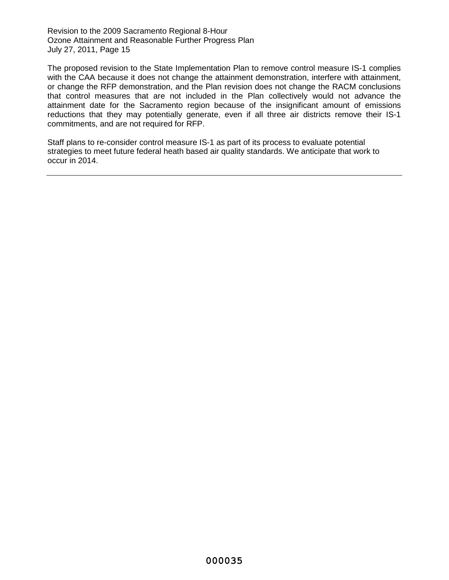The proposed revision to the State Implementation Plan to remove control measure IS-1 complies with the CAA because it does not change the attainment demonstration, interfere with attainment, or change the RFP demonstration, and the Plan revision does not change the RACM conclusions that control measures that are not included in the Plan collectively would not advance the attainment date for the Sacramento region because of the insignificant amount of emissions reductions that they may potentially generate, even if all three air districts remove their IS-1 commitments, and are not required for RFP.

Staff plans to re-consider control measure IS-1 as part of its process to evaluate potential strategies to meet future federal heath based air quality standards. We anticipate that work to occur in 2014.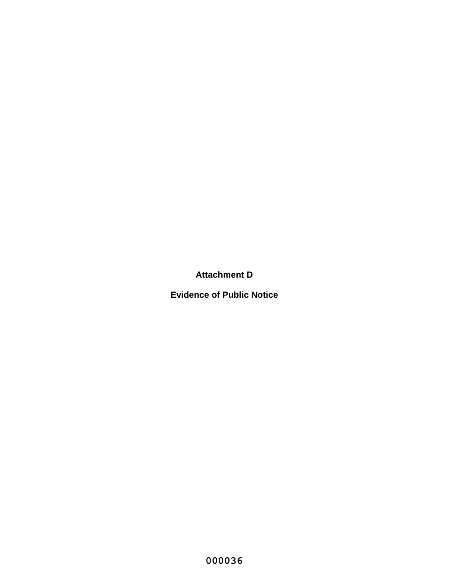**Attachment D**

**Evidence of Public Notice**